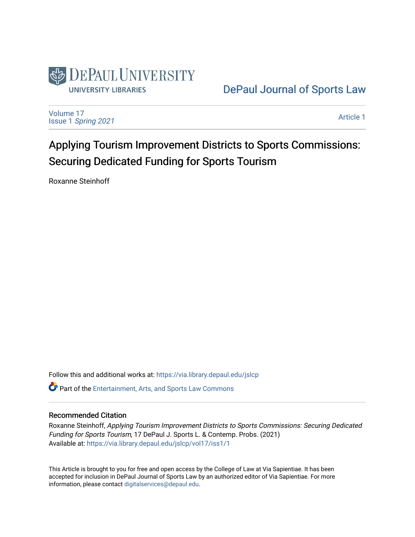

## [DePaul Journal of Sports Law](https://via.library.depaul.edu/jslcp)

[Volume 17](https://via.library.depaul.edu/jslcp/vol17) Issue 1 [Spring 2021](https://via.library.depaul.edu/jslcp/vol17/iss1) 

[Article 1](https://via.library.depaul.edu/jslcp/vol17/iss1/1) 

# Applying Tourism Improvement Districts to Sports Commissions: Securing Dedicated Funding for Sports Tourism

Roxanne Steinhoff

Follow this and additional works at: [https://via.library.depaul.edu/jslcp](https://via.library.depaul.edu/jslcp?utm_source=via.library.depaul.edu%2Fjslcp%2Fvol17%2Fiss1%2F1&utm_medium=PDF&utm_campaign=PDFCoverPages)  **C** Part of the [Entertainment, Arts, and Sports Law Commons](http://network.bepress.com/hgg/discipline/893?utm_source=via.library.depaul.edu%2Fjslcp%2Fvol17%2Fiss1%2F1&utm_medium=PDF&utm_campaign=PDFCoverPages)

#### Recommended Citation

Roxanne Steinhoff, Applying Tourism Improvement Districts to Sports Commissions: Securing Dedicated Funding for Sports Tourism, 17 DePaul J. Sports L. & Contemp. Probs. (2021) Available at: [https://via.library.depaul.edu/jslcp/vol17/iss1/1](https://via.library.depaul.edu/jslcp/vol17/iss1/1?utm_source=via.library.depaul.edu%2Fjslcp%2Fvol17%2Fiss1%2F1&utm_medium=PDF&utm_campaign=PDFCoverPages) 

This Article is brought to you for free and open access by the College of Law at Via Sapientiae. It has been accepted for inclusion in DePaul Journal of Sports Law by an authorized editor of Via Sapientiae. For more information, please contact [digitalservices@depaul.edu](mailto:digitalservices@depaul.edu).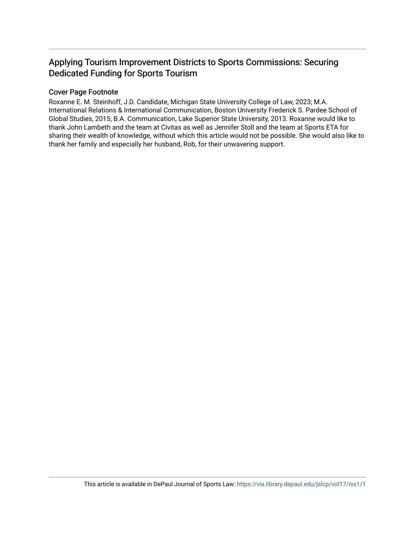### Applying Tourism Improvement Districts to Sports Commissions: Securing Dedicated Funding for Sports Tourism

#### Cover Page Footnote

Roxanne E. M. Steinhoff, J.D. Candidate, Michigan State University College of Law, 2023; M.A. International Relations & International Communication, Boston University Frederick S. Pardee School of Global Studies, 2015; B.A. Communication, Lake Superior State University, 2013. Roxanne would like to thank John Lambeth and the team at Civitas as well as Jennifer Stoll and the team at Sports ETA for sharing their wealth of knowledge, without which this article would not be possible. She would also like to thank her family and especially her husband, Rob, for their unwavering support.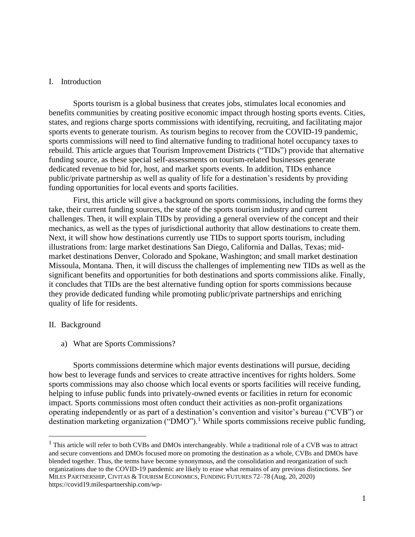#### I. Introduction

Sports tourism is a global business that creates jobs, stimulates local economies and benefits communities by creating positive economic impact through hosting sports events. Cities, states, and regions charge sports commissions with identifying, recruiting, and facilitating major sports events to generate tourism. As tourism begins to recover from the COVID-19 pandemic, sports commissions will need to find alternative funding to traditional hotel occupancy taxes to rebuild. This article argues that Tourism Improvement Districts ("TIDs") provide that alternative funding source, as these special self-assessments on tourism-related businesses generate dedicated revenue to bid for, host, and market sports events. In addition, TIDs enhance public/private partnership as well as quality of life for a destination's residents by providing funding opportunities for local events and sports facilities.

First, this article will give a background on sports commissions, including the forms they take, their current funding sources, the state of the sports tourism industry and current challenges. Then, it will explain TIDs by providing a general overview of the concept and their mechanics, as well as the types of jurisdictional authority that allow destinations to create them. Next, it will show how destinations currently use TIDs to support sports tourism, including illustrations from: large market destinations San Diego, California and Dallas, Texas; midmarket destinations Denver, Colorado and Spokane, Washington; and small market destination Missoula, Montana. Then, it will discuss the challenges of implementing new TIDs as well as the significant benefits and opportunities for both destinations and sports commissions alike. Finally, it concludes that TIDs are the best alternative funding option for sports commissions because they provide dedicated funding while promoting public/private partnerships and enriching quality of life for residents.

#### II. Background

a) What are Sports Commissions?

Sports commissions determine which major events destinations will pursue, deciding how best to leverage funds and services to create attractive incentives for rights holders. Some sports commissions may also choose which local events or sports facilities will receive funding, helping to infuse public funds into privately-owned events or facilities in return for economic impact. Sports commissions most often conduct their activities as non-profit organizations operating independently or as part of a destination's convention and visitor's bureau ("CVB") or destination marketing organization ("DMO").<sup>1</sup> While sports commissions receive public funding,

<sup>&</sup>lt;sup>1</sup> This article will refer to both CVBs and DMOs interchangeably. While a traditional role of a CVB was to attract and secure conventions and DMOs focused more on promoting the destination as a whole, CVBs and DMOs have blended together. Thus, the terms have become synonymous, and the consolidation and reorganization of such organizations due to the COVID-19 pandemic are likely to erase what remains of any previous distinctions. *See* MILES PARTNERSHIP, CIVITAS & TOURISM ECONOMICS, FUNDING FUTURES 72–78 (Aug. 20, 2020) [https://covid19.milespartnership.com/wp-](https://covid19.milespartnership.com/wp-content/uploads/2020/08/FundingFutures_FullReport_Final_08282020.pdf)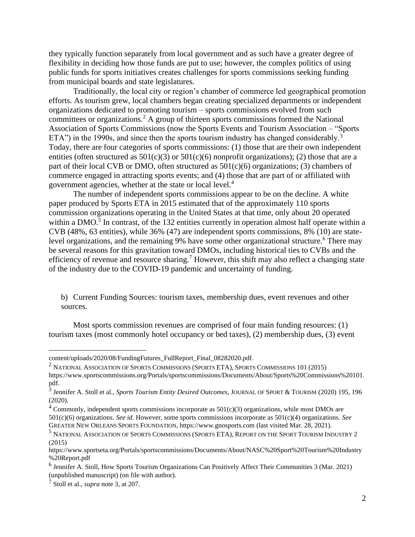they typically function separately from local government and as such have a greater degree of flexibility in deciding how those funds are put to use; however, the complex politics of using public funds for sports initiatives creates challenges for sports commissions seeking funding from municipal boards and state legislatures.

Traditionally, the local city or region's chamber of commerce led geographical promotion efforts. As tourism grew, local chambers began creating specialized departments or independent organizations dedicated to promoting tourism – sports commissions evolved from such committees or organizations.<sup>2</sup> A group of thirteen sports commissions formed the National Association of Sports Commissions (now the Sports Events and Tourism Association – "Sports ETA") in the 1990s, and since then the sports tourism industry has changed considerably.<sup>3</sup> Today, there are four categories of sports commissions: (1) those that are their own independent entities (often structured as  $501(c)(3)$  or  $501(c)(6)$  nonprofit organizations); (2) those that are a part of their local CVB or DMO, often structured as  $501(c)(6)$  organizations; (3) chambers of commerce engaged in attracting sports events; and (4) those that are part of or affiliated with government agencies, whether at the state or local level.<sup>4</sup>

The number of independent sports commissions appear to be on the decline. A white paper produced by Sports ETA in 2015 estimated that of the approximately 110 sports commission organizations operating in the United States at that time, only about 20 operated within a DMO.<sup>5</sup> In contrast, of the 132 entities currently in operation almost half operate within a CVB (48%, 63 entities), while 36% (47) are independent sports commissions, 8% (10) are statelevel organizations, and the remaining 9% have some other organizational structure.<sup>6</sup> There may be several reasons for this gravitation toward DMOs, including historical ties to CVBs and the efficiency of revenue and resource sharing.<sup>7</sup> However, this shift may also reflect a changing state of the industry due to the COVID-19 pandemic and uncertainty of funding.

b) Current Funding Sources: tourism taxes, membership dues, event revenues and other sources.

Most sports commission revenues are comprised of four main funding resources: (1) tourism taxes (most commonly hotel occupancy or bed taxes), (2) membership dues, (3) event

 $2$  National Association of Sports Commissions (Sports ETA), Sports Commissions 101 (2015) [https://www.sportscommissions.org/Portals/sportscommissions/Documents/About/Sports%20Commissions%20101.](https://www.sportscommissions.org/Portals/sportscommissions/Documents/About/Sports%20Commissions%20101.pdf) [pdf.](https://www.sportscommissions.org/Portals/sportscommissions/Documents/About/Sports%20Commissions%20101.pdf)

[content/uploads/2020/08/FundingFutures\\_FullReport\\_Final\\_08282020.pdf.](https://covid19.milespartnership.com/wp-content/uploads/2020/08/FundingFutures_FullReport_Final_08282020.pdf)

<sup>3</sup> Jennifer A. Stoll et al., *Sports Tourism Entity Desired Outcomes,* JOURNAL OF SPORT & TOURISM (2020) 195, 196 (2020).

 $4$  Commonly, independent sports commissions incorporate as  $501(c)(3)$  organizations, while most DMOs are 501(c)(6) organizations. *See id.* However, some sports commissions incorporate as 501(c)(4) organizations. *See* GREATER NEW ORLEANS SPORTS FOUNDATION, [https://www.gnosports.com](https://www.gnosports.com/) (last visited Mar. 28, 2021).

<sup>5</sup> NATIONAL ASSOCIATION OF SPORTS COMMISSIONS (SPORTS ETA), REPORT ON THE SPORT TOURISM INDUSTRY 2 (2015)

https://www.sportseta.org/Portals/sportscommissions/Documents/About/NASC%20Sport%20Tourism%20Industry %20Report.pdf

<sup>&</sup>lt;sup>6</sup> Jennifer A. Stoll, How Sports Tourism Organizations Can Positively Affect Their Communities 3 (Mar. 2021) (unpublished manuscript) (on file with author).

<sup>7</sup> Stoll et al., *supra* note 3, at 207.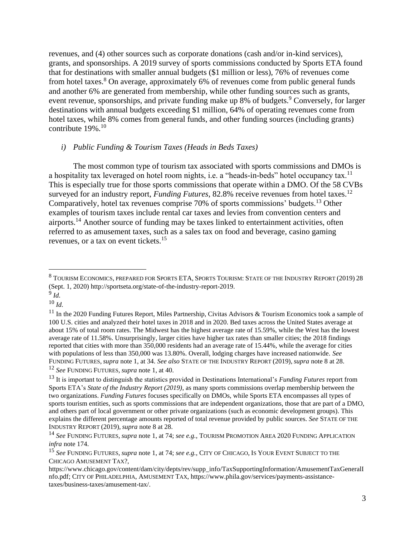revenues, and (4) other sources such as corporate donations (cash and/or in-kind services), grants, and sponsorships. A 2019 survey of sports commissions conducted by Sports ETA found that for destinations with smaller annual budgets (\$1 million or less), 76% of revenues come from hotel taxes.<sup>8</sup> On average, approximately 6% of revenues come from public general funds and another 6% are generated from membership, while other funding sources such as grants, event revenue, sponsorships, and private funding make up 8% of budgets.<sup>9</sup> Conversely, for larger destinations with annual budgets exceeding \$1 million, 64% of operating revenues come from hotel taxes, while 8% comes from general funds, and other funding sources (including grants) contribute 19%.<sup>10</sup>

#### *i) Public Funding & Tourism Taxes (Heads in Beds Taxes)*

The most common type of tourism tax associated with sports commissions and DMOs is a hospitality tax leveraged on hotel room nights, i.e. a "heads-in-beds" hotel occupancy tax.<sup>11</sup> This is especially true for those sports commissions that operate within a DMO. Of the 58 CVBs surveyed for an industry report, *Funding Futures*, 82.8% receive revenues from hotel taxes.<sup>12</sup> Comparatively, hotel tax revenues comprise 70% of sports commissions' budgets.<sup>13</sup> Other examples of tourism taxes include rental car taxes and levies from convention centers and airports.<sup>14</sup> Another source of funding may be taxes linked to entertainment activities, often referred to as amusement taxes, such as a sales tax on food and beverage, casino gaming revenues, or a tax on event tickets.<sup>15</sup>

 $^8$  Tourism Economics, prepared for Sports ETA, Sports Tourism: State of the Industry Report (2019) 28 (Sept. 1, 2020) [http://sportseta.org/state-of-the-industry-report-2019.](http://sportseta.org/state-of-the-industry-report-2019)

<sup>9</sup> *Id.*

<sup>10</sup> *Id.*

<sup>&</sup>lt;sup>11</sup> In the 2020 Funding Futures Report, Miles Partnership, Civitas Advisors & Tourism Economics took a sample of 100 U.S. cities and analyzed their hotel taxes in 2018 and in 2020. Bed taxes across the United States average at about 15% of total room rates. The Midwest has the highest average rate of 15.59%, while the West has the lowest average rate of 11.58%. Unsurprisingly, larger cities have higher tax rates than smaller cities; the 2018 findings reported that cities with more than 350,000 residents had an average rate of 15.44%, while the average for cities with populations of less than 350,000 was 13.80%. Overall, lodging charges have increased nationwide. *See* FUNDING FUTURES*, supra* note 1, at 34. *See also* STATE OF THE INDUSTRY REPORT (2019), *supra* note 8 at 28.

<sup>12</sup> *See* FUNDING FUTURES*, supra* note 1, at 40.

<sup>13</sup> It is important to distinguish the statistics provided in Destinations International's *Funding Futures* report from Sports ETA's *State of the Industry Report (2019)*, as many sports commissions overlap membership between the two organizations. *Funding Futures* focuses specifically on DMOs, while Sports ETA encompasses all types of sports tourism entities, such as sports commissions that are independent organizations, those that are part of a DMO, and others part of local government or other private organizations (such as economic development groups). This explains the different percentage amounts reported of total revenue provided by public sources. *See* STATE OF THE INDUSTRY REPORT (2019), *supra* note 8 at 28.

<sup>14</sup> *See* FUNDING FUTURES*, supra* note 1, at 74; *see e.g.,* TOURISM PROMOTION AREA 2020 FUNDING APPLICATION *infra* note 174.

<sup>15</sup> *See* FUNDING FUTURES*, supra* note 1, at 74; *see e.g.,* CITY OF CHICAGO, IS YOUR EVENT SUBJECT TO THE CHICAGO AMUSEMENT TAX?,

[https://www.chicago.gov/content/dam/city/depts/rev/supp\\_info/TaxSupportingInformation/AmusementTaxGeneralI](https://www.chicago.gov/content/dam/city/depts/rev/supp_info/TaxSupportingInformation/AmusementTaxGeneralInfo.pdf) [nfo.pdf;](https://www.chicago.gov/content/dam/city/depts/rev/supp_info/TaxSupportingInformation/AmusementTaxGeneralInfo.pdf) CITY OF PHILADELPHIA, AMUSEMENT TAX, [https://www.phila.gov/services/payments-assistance](https://www.phila.gov/services/payments-assistance-taxes/business-taxes/amusement-tax/)[taxes/business-taxes/amusement-tax/.](https://www.phila.gov/services/payments-assistance-taxes/business-taxes/amusement-tax/)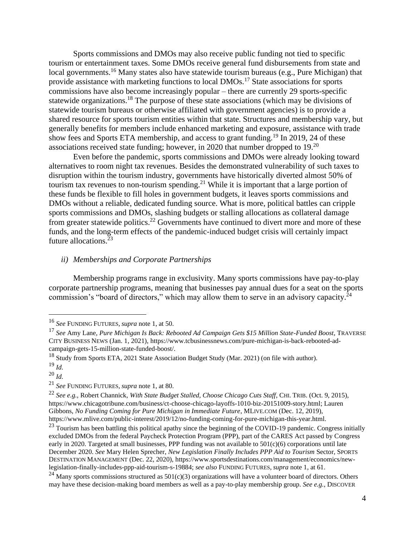Sports commissions and DMOs may also receive public funding not tied to specific tourism or entertainment taxes. Some DMOs receive general fund disbursements from state and local governments.<sup>16</sup> Many states also have statewide tourism bureaus (e.g., Pure Michigan) that provide assistance with marketing functions to local DMOs.<sup>17</sup> State associations for sports commissions have also become increasingly popular – there are currently 29 sports-specific statewide organizations.<sup>18</sup> The purpose of these state associations (which may be divisions of statewide tourism bureaus or otherwise affiliated with government agencies) is to provide a shared resource for sports tourism entities within that state. Structures and membership vary, but generally benefits for members include enhanced marketing and exposure, assistance with trade show fees and Sports ETA membership, and access to grant funding.<sup>19</sup> In 2019, 24 of these associations received state funding; however, in 2020 that number dropped to 19.<sup>20</sup>

Even before the pandemic, sports commissions and DMOs were already looking toward alternatives to room night tax revenues. Besides the demonstrated vulnerability of such taxes to disruption within the tourism industry, governments have historically diverted almost 50% of tourism tax revenues to non-tourism spending.<sup>21</sup> While it is important that a large portion of these funds be flexible to fill holes in government budgets, it leaves sports commissions and DMOs without a reliable, dedicated funding source. What is more, political battles can cripple sports commissions and DMOs, slashing budgets or stalling allocations as collateral damage from greater statewide politics.<sup>22</sup> Governments have continued to divert more and more of these funds, and the long-term effects of the pandemic-induced budget crisis will certainly impact future allocations.<sup>23</sup>

#### *ii) Memberships and Corporate Partnerships*

Membership programs range in exclusivity. Many sports commissions have pay-to-play corporate partnership programs, meaning that businesses pay annual dues for a seat on the sports commission's "board of directors," which may allow them to serve in an advisory capacity. $24$ 

<sup>16</sup> *See* FUNDING FUTURES*, supra* note 1, at 50.

<sup>17</sup> *See* Amy Lane, *Pure Michigan Is Back: Rebooted Ad Campaign Gets \$15 Million State-Funded Boost*, TRAVERSE CITY BUSINESS NEWS (Jan. 1, 2021)[, https://www.tcbusinessnews.com/pure-michigan-is-back-rebooted-ad](https://www.tcbusinessnews.com/pure-michigan-is-back-rebooted-ad-campaign-gets-15-million-state-funded-boost/)[campaign-gets-15-million-state-funded-boost/.](https://www.tcbusinessnews.com/pure-michigan-is-back-rebooted-ad-campaign-gets-15-million-state-funded-boost/)

<sup>&</sup>lt;sup>18</sup> Study from Sports ETA, 2021 State Association Budget Study (Mar. 2021) (on file with author). <sup>19</sup> *Id.*

<sup>20</sup> *Id.*

<sup>21</sup> *See* FUNDING FUTURES*, supra* note 1, at 80.

<sup>22</sup> *See e.g.,* Robert Channick, *With State Budget Stalled, Choose Chicago Cuts Staff*, CHI. TRIB. (Oct. 9, 2015), [https://www.chicagotribune.com/business/ct-choose-chicago-layoffs-1010-biz-20151009-story.html;](https://www.chicagotribune.com/business/ct-choose-chicago-layoffs-1010-biz-20151009-story.html) Lauren Gibbons, *No Funding Coming for Pure Michigan in Immediate Future*, MLIVE.COM (Dec. 12, 2019), [https://www.mlive.com/public-interest/2019/12/no-funding-coming-for-pure-michigan-this-year.html.](https://www.mlive.com/public-interest/2019/12/no-funding-coming-for-pure-michigan-this-year.html)

 $^{23}$  Tourism has been battling this political apathy since the beginning of the COVID-19 pandemic. Congress initially excluded DMOs from the federal Paycheck Protection Program (PPP), part of the CARES Act passed by Congress early in 2020. Targeted at small businesses, PPP funding was not available to  $501(c)(6)$  corporations until late December 2020. *See* Mary Helen Sprecher, *New Legislation Finally Includes PPP Aid to Tourism* Sector, SPORTS DESTINATION MANAGEMENT (Dec. 22, 2020)[, https://www.sportsdestinations.com/management/economics/new](https://www.sportsdestinations.com/management/economics/new-legislation-finally-includes-ppp-aid-tourism-s-19884)[legislation-finally-includes-ppp-aid-tourism-s-19884;](https://www.sportsdestinations.com/management/economics/new-legislation-finally-includes-ppp-aid-tourism-s-19884) *see also* FUNDING FUTURES*, supra* note 1, at 61.

 $24$  Many sports commissions structured as 501(c)(3) organizations will have a volunteer board of directors. Others may have these decision-making board members as well as a pay-to-play membership group. *See e.g.*, DISCOVER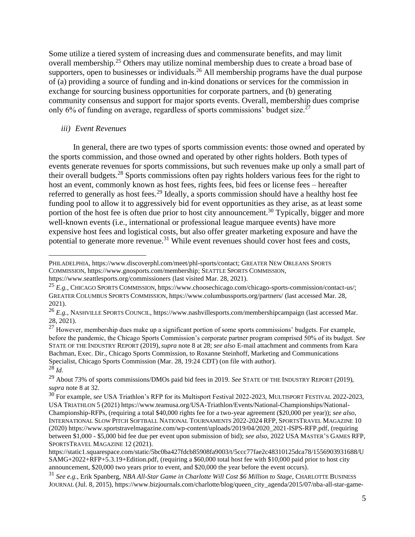Some utilize a tiered system of increasing dues and commensurate benefits, and may limit overall membership.<sup>25</sup> Others may utilize nominal membership dues to create a broad base of supporters, open to businesses or individuals.<sup>26</sup> All membership programs have the dual purpose of (a) providing a source of funding and in-kind donations or services for the commission in exchange for sourcing business opportunities for corporate partners, and (b) generating community consensus and support for major sports events. Overall, membership dues comprise only 6% of funding on average, regardless of sports commissions' budget size.<sup> $27$ </sup>

#### *iii) Event Revenues*

In general, there are two types of sports commission events: those owned and operated by the sports commission, and those owned and operated by other rights holders. Both types of events generate revenues for sports commissions, but such revenues make up only a small part of their overall budgets.<sup>28</sup> Sports commissions often pay rights holders various fees for the right to host an event, commonly known as host fees, rights fees, bid fees or license fees – hereafter referred to generally as host fees.<sup>29</sup> Ideally, a sports commission should have a healthy host fee funding pool to allow it to aggressively bid for event opportunities as they arise, as at least some portion of the host fee is often due prior to host city announcement.<sup>30</sup> Typically, bigger and more well-known events (i.e., international or professional league marquee events) have more expensive host fees and logistical costs, but also offer greater marketing exposure and have the potential to generate more revenue.<sup>31</sup> While event revenues should cover host fees and costs,

PHILADELPHIA, [https://www.discoverphl.com/meet/phl-sports/contact;](https://www.discoverphl.com/meet/phl-sports/contact) GREATER NEW ORLEANS SPORTS COMMISSION, [https://www.gnosports.com/membership;](https://www.gnosports.com/membership) SEATTLE SPORTS COMMISSION, <https://www.seattlesports.org/commissioners> (last visited Mar. 28, 2021).

<sup>25</sup> *E.g.*, CHICAGO SPORTS COMMISSION, [https://www.choosechicago.com/chicago-sports-commission/contact-us/;](https://www.choosechicago.com/chicago-sports-commission/contact-us/) GREATER COLUMBUS SPORTS COMMISSION, <https://www.columbussports.org/partners/> (last accessed Mar. 28, 2021).

<sup>26</sup> *E.g.*, NASHVILLE SPORTS COUNCIL,<https://www.nashvillesports.com/membershipcampaign> (last accessed Mar. 28, 2021).

 $27$  However, membership dues make up a significant portion of some sports commissions' budgets. For example, before the pandemic, the Chicago Sports Commission's corporate partner program comprised 50% of its budget. *See*  STATE OF THE INDUSTRY REPORT (2019), *supra* note 8 at 28; *see also* E-mail attachment and comments from Kara Bachman, Exec. Dir., Chicago Sports Commission, to Roxanne Steinhoff, Marketing and Communications Specialist, Chicago Sports Commission (Mar. 28, 19:24 CDT) (on file with author). <sup>28</sup> *Id.*

<sup>29</sup> About 73% of sports commissions/DMOs paid bid fees in 2019. *See* STATE OF THE INDUSTRY REPORT (2019), *supra* note 8 at 32.

<sup>30</sup> For example, *see* USA Triathlon's RFP for its Multisport Festival 2022-2023, MULTISPORT FESTIVAL 2022-2023, USA TRIATHLON 5 (2021) [https://www.teamusa.org/USA-Triathlon/Events/National-Championships/National-](https://www.teamusa.org/USA-Triathlon/Events/National-Championships/National-Championship-RFPs)[Championship-RFPs,](https://www.teamusa.org/USA-Triathlon/Events/National-Championships/National-Championship-RFPs) (requiring a total \$40,000 rights fee for a two-year agreement (\$20,000 per year)); *see also*, INTERNATIONAL SLOW PITCH SOFTBALL NATIONAL TOURNAMENTS 2022-2024 RFP, SPORTSTRAVEL MAGAZINE 10 (2020) [https://www.sportstravelmagazine.com/wp-content/uploads/2019/04/2020\\_2021-ISPS-RFP.pdf,](https://www.sportstravelmagazine.com/wp-content/uploads/2019/04/2020_2021-ISPS-RFP.pdf) (requiring between \$1,000 - \$5,000 bid fee due per event upon submission of bid); *see also*, 2022 USA MASTER'S GAMES RFP, SPORTSTRAVEL MAGAZINE 12 (2021).

[https://static1.squarespace.com/static/5bc0ba427fdcb85908fa9003/t/5ccc77fae2c48310125dca78/1556903931688/U](https://static1.squarespace.com/static/5bc0ba427fdcb85908fa9003/t/5ccc77fae2c48310125dca78/1556903931688/USAMG+2022+RFP+5.3.19+Edition.pdf) [SAMG+2022+RFP+5.3.19+Edition.pdf,](https://static1.squarespace.com/static/5bc0ba427fdcb85908fa9003/t/5ccc77fae2c48310125dca78/1556903931688/USAMG+2022+RFP+5.3.19+Edition.pdf) (requiring a \$60,000 total host fee with \$10,000 paid prior to host city announcement, \$20,000 two years prior to event, and \$20,000 the year before the event occurs).

<sup>31</sup> *See e.g.*, Erik Spanberg, *NBA All-Star Game in Charlotte Will Cost \$6 Million to Stage*, CHARLOTTE BUSINESS JOURNAL (Jul. 8, 2015)[, https://www.bizjournals.com/charlotte/blog/queen\\_city\\_agenda/2015/07/nba-all-star-game-](https://www.bizjournals.com/charlotte/blog/queen_city_agenda/2015/07/nba-all-star-game-in-charlotte-will-cost-6-million.html)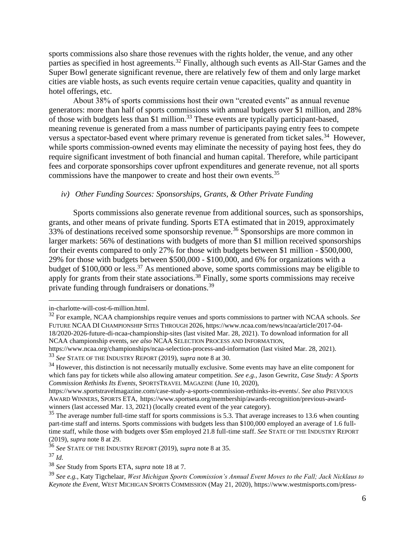sports commissions also share those revenues with the rights holder, the venue, and any other parties as specified in host agreements.<sup>32</sup> Finally, although such events as All-Star Games and the Super Bowl generate significant revenue, there are relatively few of them and only large market cities are viable hosts, as such events require certain venue capacities, quality and quantity in hotel offerings, etc.

About 38% of sports commissions host their own "created events" as annual revenue generators: more than half of sports commissions with annual budgets over \$1 million, and 28% of those with budgets less than \$1 million.<sup>33</sup> These events are typically participant-based, meaning revenue is generated from a mass number of participants paying entry fees to compete versus a spectator-based event where primary revenue is generated from ticket sales.<sup>34</sup> However, while sports commission-owned events may eliminate the necessity of paying host fees, they do require significant investment of both financial and human capital. Therefore, while participant fees and corporate sponsorships cover upfront expenditures and generate revenue, not all sports commissions have the manpower to create and host their own events.<sup>35</sup>

#### *iv) Other Funding Sources: Sponsorships, Grants, & Other Private Funding*

Sports commissions also generate revenue from additional sources, such as sponsorships, grants, and other means of private funding. Sports ETA estimated that in 2019, approximately 33% of destinations received some sponsorship revenue.<sup>36</sup> Sponsorships are more common in larger markets: 56% of destinations with budgets of more than \$1 million received sponsorships for their events compared to only 27% for those with budgets between \$1 million - \$500,000, 29% for those with budgets between \$500,000 - \$100,000, and 6% for organizations with a budget of  $$100,000$  or less.<sup>37</sup> As mentioned above, some sports commissions may be eligible to apply for grants from their state associations.<sup>38</sup> Finally, some sports commissions may receive private funding through fundraisers or donations.<sup>39</sup>

[in-charlotte-will-cost-6-million.html.](https://www.bizjournals.com/charlotte/blog/queen_city_agenda/2015/07/nba-all-star-game-in-charlotte-will-cost-6-million.html)

<sup>32</sup> For example, NCAA championships require venues and sports commissions to partner with NCAA schools. *See* FUTURE NCAA DI CHAMPIONSHIP SITES THROUGH 2026, [https://www.ncaa.com/news/ncaa/article/2017-04-](https://www.ncaa.com/news/ncaa/article/2017-04-18/2020-2026-future-di-ncaa-championship-sites) [18/2020-2026-future-di-ncaa-championship-sites](https://www.ncaa.com/news/ncaa/article/2017-04-18/2020-2026-future-di-ncaa-championship-sites) (last visited Mar. 28, 2021). To download information for all NCAA championship events, *see also* NCAA SELECTION PROCESS AND INFORMATION,

<https://www.ncaa.org/championships/ncaa-selection-process-and-information> (last visited Mar. 28, 2021).

<sup>33</sup> *See* STATE OF THE INDUSTRY REPORT (2019), *supra* note 8 at 30.

<sup>&</sup>lt;sup>34</sup> However, this distinction is not necessarily mutually exclusive. Some events may have an elite component for which fans pay for tickets while also allowing amateur competition. *See e.g.*, Jason Gewritz, *Case Study: A Sports Commission Rethinks Its Events*, SPORTSTRAVEL MAGAZINE (June 10, 2020),

[https://www.sportstravelmagazine.com/case-study-a-sports-commission-rethinks-its-events/.](https://www.sportstravelmagazine.com/case-study-a-sports-commission-rethinks-its-events/) *See also* PREVIOUS AWARD WINNERS, SPORTS ETA, [https://www.sportseta.org/membership/awards-recognition/previous-award](https://www.sportseta.org/membership/awards-recognition/previous-award-winners)[winners](https://www.sportseta.org/membership/awards-recognition/previous-award-winners) (last accessed Mar. 13, 2021) (locally created event of the year category).

 $35$  The average number full-time staff for sports commissions is 5.3. That average increases to 13.6 when counting part-time staff and interns. Sports commissions with budgets less than \$100,000 employed an average of 1.6 fulltime staff, while those with budgets over \$5m employed 21.8 full-time staff. *See* STATE OF THE INDUSTRY REPORT (2019), *supra* note 8 at 29.

<sup>36</sup> *See* STATE OF THE INDUSTRY REPORT (2019), *supra* note 8 at 35.

<sup>37</sup> *Id.*

<sup>38</sup> *See* Study from Sports ETA, *supra* note 18 at 7.

<sup>39</sup> *See e.g.,* Katy Tigchelaar, *West Michigan Sports Commission's Annual Event Moves to the Fall; Jack Nicklaus to Keynote the Event*, WEST MICHIGAN SPORTS COMMISSION (May 21, 2020), [https://www.westmisports.com/press-](https://www.westmisports.com/press-releases/strongwest-michigan-sports-commissions-annual-event-moves-to-the-falljack-nicklaus-to-keynote-the-eventstrong)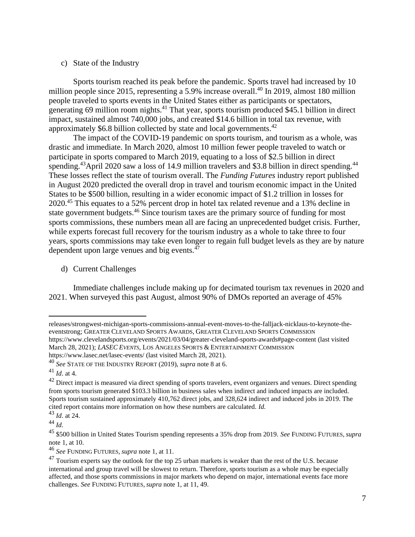#### c) State of the Industry

Sports tourism reached its peak before the pandemic. Sports travel had increased by 10 million people since 2015, representing a 5.9% increase overall.<sup>40</sup> In 2019, almost 180 million people traveled to sports events in the United States either as participants or spectators, generating 69 million room nights. $41$  That year, sports tourism produced \$45.1 billion in direct impact, sustained almost 740,000 jobs, and created \$14.6 billion in total tax revenue, with approximately \$6.8 billion collected by state and local governments.<sup>42</sup>

The impact of the COVID-19 pandemic on sports tourism, and tourism as a whole, was drastic and immediate. In March 2020, almost 10 million fewer people traveled to watch or participate in sports compared to March 2019, equating to a loss of \$2.5 billion in direct spending.<sup>43</sup>April 2020 saw a loss of 14.9 million travelers and \$3.8 billion in direct spending.<sup>44</sup> These losses reflect the state of tourism overall. The *Funding Futures* industry report published in August 2020 predicted the overall drop in travel and tourism economic impact in the United States to be \$500 billion, resulting in a wider economic impact of \$1.2 trillion in losses for 2020.<sup>45</sup> This equates to a 52% percent drop in hotel tax related revenue and a 13% decline in state government budgets.<sup>46</sup> Since tourism taxes are the primary source of funding for most sports commissions, these numbers mean all are facing an unprecedented budget crisis. Further, while experts forecast full recovery for the tourism industry as a whole to take three to four years, sports commissions may take even longer to regain full budget levels as they are by nature dependent upon large venues and big events. $47$ 

d) Current Challenges

Immediate challenges include making up for decimated tourism tax revenues in 2020 and 2021. When surveyed this past August, almost 90% of DMOs reported an average of 45%

<https://www.lasec.net/lasec-events/> (last visited March 28, 2021).

[releases/strongwest-michigan-sports-commissions-annual-event-moves-to-the-falljack-nicklaus-to-keynote-the](https://www.westmisports.com/press-releases/strongwest-michigan-sports-commissions-annual-event-moves-to-the-falljack-nicklaus-to-keynote-the-eventstrong)[eventstrong;](https://www.westmisports.com/press-releases/strongwest-michigan-sports-commissions-annual-event-moves-to-the-falljack-nicklaus-to-keynote-the-eventstrong) GREATER CLEVELAND SPORTS AWARDS, GREATER CLEVELAND SPORTS COMMISSION <https://www.clevelandsports.org/events/2021/03/04/greater-cleveland-sports-awards#page-content> (last visited March 28, 2021); *LASEC EVENTS*, LOS ANGELES SPORTS & ENTERTAINMENT COMMISSION

<sup>40</sup> *See* STATE OF THE INDUSTRY REPORT (2019), *supra* note 8 at 6.

<sup>41</sup> *Id*. at 4.

 $42$  Direct impact is measured via direct spending of sports travelers, event organizers and venues. Direct spending from sports tourism generated \$103.3 billion in business sales when indirect and induced impacts are included. Sports tourism sustained approximately 410,762 direct jobs, and 328,624 indirect and induced jobs in 2019. The cited report contains more information on how these numbers are calculated. *Id.*

<sup>43</sup> *Id*. at 24.

<sup>44</sup> *Id.*

<sup>45</sup> \$500 billion in United States Tourism spending represents a 35% drop from 2019. *See* FUNDING FUTURES*, supra*  note 1, at 10.

<sup>46</sup> *See* FUNDING FUTURES*, supra* note 1, at 11.

 $^{47}$  Tourism experts say the outlook for the top 25 urban markets is weaker than the rest of the U.S. because international and group travel will be slowest to return. Therefore, sports tourism as a whole may be especially affected, and those sports commissions in major markets who depend on major, international events face more challenges. *See* FUNDING FUTURES*, supra* note 1, at 11, 49.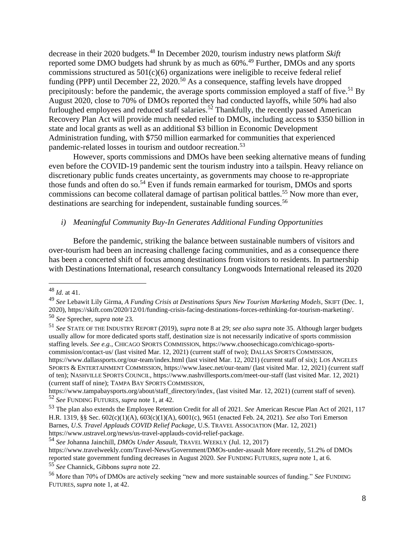decrease in their 2020 budgets.<sup>48</sup> In December 2020, tourism industry news platform *Skift* reported some DMO budgets had shrunk by as much as  $60\%$ <sup>49</sup> Further, DMOs and any sports commissions structured as  $501(c)(6)$  organizations were ineligible to receive federal relief funding (PPP) until December 22, 2020.<sup>50</sup> As a consequence, staffing levels have dropped precipitously: before the pandemic, the average sports commission employed a staff of five.<sup>51</sup> By August 2020, close to 70% of DMOs reported they had conducted layoffs, while 50% had also furloughed employees and reduced staff salaries.<sup>52</sup> Thankfully, the recently passed American Recovery Plan Act will provide much needed relief to DMOs, including access to \$350 billion in state and local grants as well as an additional \$3 billion in Economic Development Administration funding, with \$750 million earmarked for communities that experienced pandemic-related losses in tourism and outdoor recreation.<sup>53</sup>

However, sports commissions and DMOs have been seeking alternative means of funding even before the COVID-19 pandemic sent the tourism industry into a tailspin. Heavy reliance on discretionary public funds creates uncertainty, as governments may choose to re-appropriate those funds and often do so.<sup>54</sup> Even if funds remain earmarked for tourism, DMOs and sports commissions can become collateral damage of partisan political battles.<sup>55</sup> Now more than ever, destinations are searching for independent, sustainable funding sources.<sup>56</sup>

#### *i) Meaningful Community Buy-In Generates Additional Funding Opportunities*

Before the pandemic, striking the balance between sustainable numbers of visitors and over-tourism had been an increasing challenge facing communities, and as a consequence there has been a concerted shift of focus among destinations from visitors to residents. In partnership with Destinations International, research consultancy Longwoods International released its 2020

<sup>48</sup> *Id.* at 41.

<sup>49</sup> *See* Lebawit Lily Girma, *A Funding Crisis at Destinations Spurs New Tourism Marketing Models*, SKIFT (Dec. 1, 2020), [https://skift.com/2020/12/01/funding-crisis-facing-destinations-forces-rethinking-for-tourism-marketing/.](https://skift.com/2020/12/01/funding-crisis-facing-destinations-forces-rethinking-for-tourism-marketing/)

<sup>50</sup> *See* Sprecher, *supra* note 23.

<sup>51</sup> *See* STATE OF THE INDUSTRY REPORT (2019), *supra* note 8 at 29; *see also supra* note 35. Although larger budgets usually allow for more dedicated sports staff, destination size is not necessarily indicative of sports commission staffing levels. *See e.g.*, CHICAGO SPORTS COMMISSION, [https://www.choosechicago.com/chicago-sports](https://www.choosechicago.com/chicago-sports-commission/contact-us/)[commission/contact-us/](https://www.choosechicago.com/chicago-sports-commission/contact-us/) (last visited Mar. 12, 2021) (current staff of two); DALLAS SPORTS COMMISSION, <https://www.dallassports.org/our-team/index.html> (last visited Mar. 12, 2021) (current staff of six); LOS ANGELES SPORTS & ENTERTAINMENT COMMISSION,<https://www.lasec.net/our-team/> (last visited Mar. 12, 2021) (current staff of ten); NASHVILLE SPORTS COUNCIL,<https://www.nashvillesports.com/meet-our-staff> (last visited Mar. 12, 2021) (current staff of nine); TAMPA BAY SPORTS COMMISSION,

[https://www.tampabaysports.org/about/staff\\_directory/index,](https://www.tampabaysports.org/about/staff_directory/index) (last visited Mar. 12, 2021) (current staff of seven). <sup>52</sup> *See* FUNDING FUTURES*, supra* note 1, at 42.

<sup>53</sup> The plan also extends the Employee Retention Credit for all of 2021. *See* American Rescue Plan Act of 2021, 117 H.R. 1319, §§ Sec. 602(c)(1)(A), 603(c)(1)(A), 6001(c), 9651 (enacted Feb. 24, 2021). *See also* Tori Emerson Barnes, *U.S. Travel Applauds COVID Relief Package*, U.S. TRAVEL ASSOCIATION (Mar. 12, 2021) [https://www.ustravel.org/news/us-travel-applauds-covid-relief-package.](https://www.ustravel.org/news/us-travel-applauds-covid-relief-package)

<sup>54</sup> *See* Johanna Jainchill, *DMOs Under Assault*, TRAVEL WEEKLY (Jul. 12, 2017) <https://www.travelweekly.com/Travel-News/Government/DMOs-under-assault> More recently, 51.2% of DMOs reported state government funding decreases in August 2020. *See* FUNDING FUTURES*, supra* note 1, at 6. <sup>55</sup> *See* Channick, Gibbons *supra* note 22.

<sup>56</sup> More than 70% of DMOs are actively seeking "new and more sustainable sources of funding." *See* FUNDING FUTURES*, supra* note 1, at 42.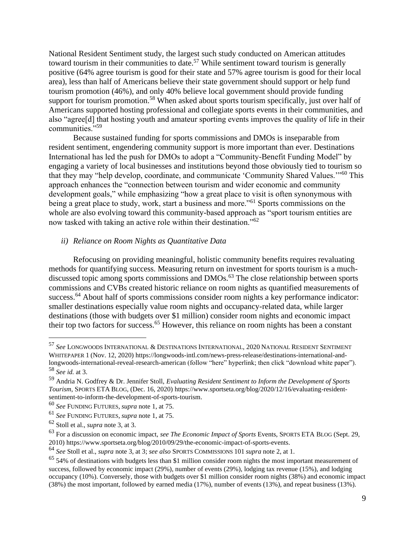National Resident Sentiment study, the largest such study conducted on American attitudes toward tourism in their communities to date.<sup>57</sup> While sentiment toward tourism is generally positive (64% agree tourism is good for their state and 57% agree tourism is good for their local area), less than half of Americans believe their state government should support or help fund tourism promotion (46%), and only 40% believe local government should provide funding support for tourism promotion.<sup>58</sup> When asked about sports tourism specifically, just over half of Americans supported hosting professional and collegiate sports events in their communities, and also "agree[d] that hosting youth and amateur sporting events improves the quality of life in their communities."<sup>59</sup>

Because sustained funding for sports commissions and DMOs is inseparable from resident sentiment, engendering community support is more important than ever. Destinations International has led the push for DMOs to adopt a "Community-Benefit Funding Model" by engaging a variety of local businesses and institutions beyond those obviously tied to tourism so that they may "help develop, coordinate, and communicate 'Community Shared Values.'"<sup>60</sup> This approach enhances the "connection between tourism and wider economic and community development goals," while emphasizing "how a great place to visit is often synonymous with being a great place to study, work, start a business and more.<sup>"61</sup> Sports commissions on the whole are also evolving toward this community-based approach as "sport tourism entities are now tasked with taking an active role within their destination."<sup>62</sup>

#### *ii) Reliance on Room Nights as Quantitative Data*

Refocusing on providing meaningful, holistic community benefits requires revaluating methods for quantifying success. Measuring return on investment for sports tourism is a muchdiscussed topic among sports commissions and DMOs.<sup>63</sup> The close relationship between sports commissions and CVBs created historic reliance on room nights as quantified measurements of success.<sup>64</sup> About half of sports commissions consider room nights a key performance indicator: smaller destinations especially value room nights and occupancy-related data, while larger destinations (those with budgets over \$1 million) consider room nights and economic impact their top two factors for success.<sup>65</sup> However, this reliance on room nights has been a constant

<sup>57</sup> *See* LONGWOODS INTERNATIONAL & DESTINATIONS INTERNATIONAL, 2020 NATIONAL RESIDENT SENTIMENT WHITEPAPER 1 (Nov. 12, 2020) [https://longwoods-intl.com/news-press-release/destinations-international-and](https://longwoods-intl.com/news-press-release/destinations-international-and-longwoods-international-reveal-research-american)[longwoods-international-reveal-research-american](https://longwoods-intl.com/news-press-release/destinations-international-and-longwoods-international-reveal-research-american) (follow "here" hyperlink; then click "download white paper"). <sup>58</sup> *See id.* at 3.

<sup>59</sup> Andria N. Godfrey & Dr. Jennifer Stoll, *Evaluating Resident Sentiment to Inform the Development of Sports Tourism*, SPORTS ETA BLOG, (Dec. 16, 2020[\) https://www.sportseta.org/blog/2020/12/16/evaluating-resident](https://www.sportseta.org/blog/2020/12/16/evaluating-resident-sentiment-to-inform-the-development-of-sports-tourism)[sentiment-to-inform-the-development-of-sports-tourism.](https://www.sportseta.org/blog/2020/12/16/evaluating-resident-sentiment-to-inform-the-development-of-sports-tourism)

<sup>60</sup> *See* FUNDING FUTURES*, supra* note 1, at 75.

<sup>61</sup> *See* FUNDING FUTURES*, supra* note 1, at 75.

<sup>62</sup> Stoll et al., *supra* note 3, at 3.

<sup>63</sup> For a discussion on economic impact, *see The Economic Impact of Sports* Events, SPORTS ETA BLOG (Sept. 29, 2010) [https://www.sportseta.org/blog/2010/09/29/the-economic-impact-of-sports-events.](https://www.sportseta.org/blog/2010/09/29/the-economic-impact-of-sports-events)

<sup>64</sup> *See* Stoll et al., *supra* note 3, at 3; *see also* SPORTS COMMISSIONS 101 *supra* note 2, at 1.

 $65$  54% of destinations with budgets less than \$1 million consider room nights the most important measurement of success, followed by economic impact (29%), number of events (29%), lodging tax revenue (15%), and lodging occupancy (10%). Conversely, those with budgets over \$1 million consider room nights (38%) and economic impact (38%) the most important, followed by earned media (17%), number of events (13%), and repeat business (13%).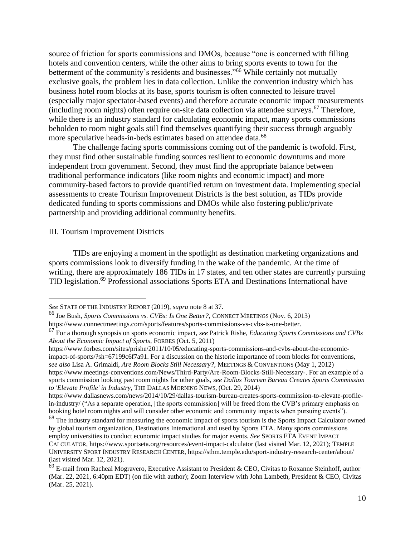source of friction for sports commissions and DMOs, because "one is concerned with filling hotels and convention centers, while the other aims to bring sports events to town for the betterment of the community's residents and businesses."<sup>66</sup> While certainly not mutually exclusive goals, the problem lies in data collection. Unlike the convention industry which has business hotel room blocks at its base, sports tourism is often connected to leisure travel (especially major spectator-based events) and therefore accurate economic impact measurements (including room nights) often require on-site data collection via attendee surveys.<sup>67</sup> Therefore, while there is an industry standard for calculating economic impact, many sports commissions beholden to room night goals still find themselves quantifying their success through arguably more speculative heads-in-beds estimates based on attendee data.<sup>68</sup>

The challenge facing sports commissions coming out of the pandemic is twofold. First, they must find other sustainable funding sources resilient to economic downturns and more independent from government. Second, they must find the appropriate balance between traditional performance indicators (like room nights and economic impact) and more community-based factors to provide quantified return on investment data. Implementing special assessments to create Tourism Improvement Districts is the best solution, as TIDs provide dedicated funding to sports commissions and DMOs while also fostering public/private partnership and providing additional community benefits.

#### III. Tourism Improvement Districts

TIDs are enjoying a moment in the spotlight as destination marketing organizations and sports commissions look to diversify funding in the wake of the pandemic. At the time of writing, there are approximately 186 TIDs in 17 states, and ten other states are currently pursuing TID legislation.<sup>69</sup> Professional associations Sports ETA and Destinations International have

*See* STATE OF THE INDUSTRY REPORT (2019), *supra* note 8 at 37.

<sup>66</sup> Joe Bush, *Sports Commissions vs. CVBs: Is One Better?*, CONNECT MEETINGS (Nov. 6, 2013) [https://www.connectmeetings.com/sports/features/sports-commissions-vs-cvbs-is-one-better.](https://www.connectmeetings.com/sports/features/sports-commissions-vs-cvbs-is-one-better)

<sup>67</sup> For a thorough synopsis on sports economic impact, *see* Patrick Rishe, *Educating Sports Commissions and CVBs About the Economic Impact of Sports*, FORBES (Oct. 5, 2011)

[https://www.forbes.com/sites/prishe/2011/10/05/educating-sports-commissions-and-cvbs-about-the-economic](https://www.forbes.com/sites/prishe/2011/10/05/educating-sports-commissions-and-cvbs-about-the-economic-impact-of-sports/?sh=67199c6f7a91)[impact-of-sports/?sh=67199c6f7a91.](https://www.forbes.com/sites/prishe/2011/10/05/educating-sports-commissions-and-cvbs-about-the-economic-impact-of-sports/?sh=67199c6f7a91) For a discussion on the historic importance of room blocks for conventions, *see also* Lisa A. Grimaldi, *Are Room Blocks Still Necessary?*, MEETINGS & CONVENTIONS (May 1, 2012) [https://www.meetings-conventions.com/News/Third-Party/Are-Room-Blocks-Still-Necessary-.](https://www.meetings-conventions.com/News/Third-Party/Are-Room-Blocks-Still-Necessary-) For an example of a sports commission looking past room nights for other goals, *see Dallas Tourism Bureau Creates Sports Commission to 'Elevate Profile' in Industry*, THE DALLAS MORNING NEWS*,* (Oct. 29, 2014)

[https://www.dallasnews.com/news/2014/10/29/dallas-tourism-bureau-creates-sports-commission-to-elevate-profile](https://www.dallasnews.com/news/2014/10/29/dallas-tourism-bureau-creates-sports-commission-to-elevate-profile-in-industry/)[in-industry/](https://www.dallasnews.com/news/2014/10/29/dallas-tourism-bureau-creates-sports-commission-to-elevate-profile-in-industry/) ("As a separate operation, [the sports commission] will be freed from the CVB's primary emphasis on booking hotel room nights and will consider other economic and community impacts when pursuing events").

<sup>&</sup>lt;sup>68</sup> The industry standard for measuring the economic impact of sports tourism is the Sports Impact Calculator owned by global tourism organization, Destinations International and used by Sports ETA. Many sports commissions employ universities to conduct economic impact studies for major events. *See* SPORTS ETA EVENT IMPACT CALCULATOR,<https://www.sportseta.org/resources/event-impact-calculator> (last visited Mar. 12, 2021); TEMPLE UNIVERSITY SPORT INDUSTRY RESEARCH CENTER,<https://sthm.temple.edu/sport-industry-research-center/about/> (last visited Mar. 12, 2021).

 $69$  E-mail from Racheal Mogravero, Executive Assistant to President & CEO, Civitas to Roxanne Steinhoff, author (Mar. 22, 2021, 6:40pm EDT) (on file with author); Zoom Interview with John Lambeth, President & CEO, Civitas (Mar. 25, 2021).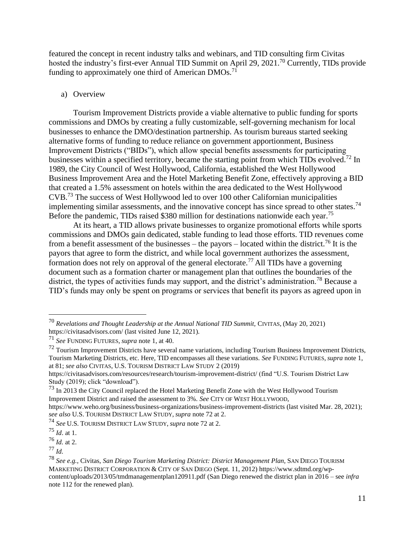featured the concept in recent industry talks and webinars, and TID consulting firm Civitas hosted the industry's first-ever Annual TID Summit on April 29, 2021.<sup>70</sup> Currently, TIDs provide funding to approximately one third of American DMOs.<sup>71</sup>

#### a) Overview

Tourism Improvement Districts provide a viable alternative to public funding for sports commissions and DMOs by creating a fully customizable, self-governing mechanism for local businesses to enhance the DMO/destination partnership. As tourism bureaus started seeking alternative forms of funding to reduce reliance on government apportionment, Business Improvement Districts ("BIDs"), which allow special benefits assessments for participating businesses within a specified territory, became the starting point from which TIDs evolved.<sup>72</sup> In 1989, the City Council of West Hollywood, California, established the West Hollywood Business Improvement Area and the Hotel Marketing Benefit Zone, effectively approving a BID that created a 1.5% assessment on hotels within the area dedicated to the West Hollywood CVB.<sup>73</sup> The success of West Hollywood led to over 100 other Californian municipalities implementing similar assessments, and the innovative concept has since spread to other states.<sup>74</sup> Before the pandemic, TIDs raised \$380 million for destinations nationwide each year.<sup>75</sup>

At its heart, a TID allows private businesses to organize promotional efforts while sports commissions and DMOs gain dedicated, stable funding to lead those efforts. TID revenues come from a benefit assessment of the businesses – the payors – located within the district.<sup>76</sup> It is the payors that agree to form the district, and while local government authorizes the assessment, formation does not rely on approval of the general electorate.<sup>77</sup> All TIDs have a governing document such as a formation charter or management plan that outlines the boundaries of the district, the types of activities funds may support, and the district's administration.<sup>78</sup> Because a TID's funds may only be spent on programs or services that benefit its payors as agreed upon in

<sup>70</sup> *Revelations and Thought Leadership at the Annual National TID Summit,* CIVITAS, (May 20, 2021) <https://civitasadvisors.com/> (last visited June 12, 2021).

<sup>71</sup> *See* FUNDING FUTURES*, supra* note 1, at 40.

<sup>&</sup>lt;sup>72</sup> Tourism Improvement Districts have several name variations, including Tourism Business Improvement Districts, Tourism Marketing Districts, etc. Here, TID encompasses all these variations. *See* FUNDING FUTURES*, supra* note 1, at 81; *see also* CIVITAS, U.S. TOURISM DISTRICT LAW STUDY 2 (2019)

<https://civitasadvisors.com/resources/research/tourism-improvement-district/> (find "U.S. Tourism District Law Study (2019); click "download").

<sup>73</sup> In 2013 the City Council replaced the Hotel Marketing Benefit Zone with the West Hollywood Tourism Improvement District and raised the assessment to 3%. *See* CITY OF WEST HOLLYWOOD,

<https://www.weho.org/business/business-organizations/business-improvement-districts> (last visited Mar. 28, 2021); *see also* U.S. TOURISM DISTRICT LAW STUDY, *supra* note 72 at 2.

<sup>74</sup> *See* U.S. TOURISM DISTRICT LAW STUDY, *supra* note 72 at 2.

<sup>75</sup> *Id*. at 1.

<sup>76</sup> *Id.* at 2.

<sup>77</sup> *Id.*

<sup>78</sup> *See e.g.*, Civitas, *San Diego Tourism Marketing District: District Management Plan,* SAN DIEGO TOURISM MARKETING DISTRICT CORPORATION & CITY OF SAN DIEGO (Sept. 11, 2012) [https://www.sdtmd.org/wp](https://www.sdtmd.org/wp-content/uploads/2013/05/tmdmanagementplan120911.pdf)[content/uploads/2013/05/tmdmanagementplan120911.pdf](https://www.sdtmd.org/wp-content/uploads/2013/05/tmdmanagementplan120911.pdf) (San Diego renewed the district plan in 2016 – see *infra* note 112 for the renewed plan).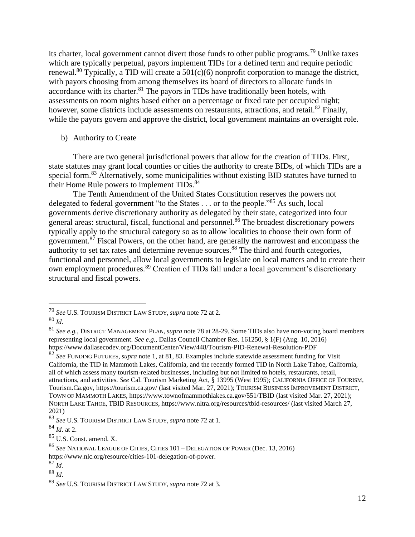its charter, local government cannot divert those funds to other public programs.<sup>79</sup> Unlike taxes which are typically perpetual, payors implement TIDs for a defined term and require periodic renewal.<sup>80</sup> Typically, a TID will create a  $501(c)(6)$  nonprofit corporation to manage the district, with payors choosing from among themselves its board of directors to allocate funds in accordance with its charter. $81$  The payors in TIDs have traditionally been hotels, with assessments on room nights based either on a percentage or fixed rate per occupied night; however, some districts include assessments on restaurants, attractions, and retail.<sup>82</sup> Finally, while the payors govern and approve the district, local government maintains an oversight role.

b) Authority to Create

There are two general jurisdictional powers that allow for the creation of TIDs. First, state statutes may grant local counties or cities the authority to create BIDs, of which TIDs are a special form.<sup>83</sup> Alternatively, some municipalities without existing BID statutes have turned to their Home Rule powers to implement TIDs.<sup>84</sup>

The Tenth Amendment of the United States Constitution reserves the powers not delegated to federal government "to the States . . . or to the people."<sup>85</sup> As such, local governments derive discretionary authority as delegated by their state, categorized into four general areas: structural, fiscal, functional and personnel.<sup>86</sup> The broadest discretionary powers typically apply to the structural category so as to allow localities to choose their own form of government.<sup>87</sup> Fiscal Powers, on the other hand, are generally the narrowest and encompass the authority to set tax rates and determine revenue sources.<sup>88</sup> The third and fourth categories, functional and personnel, allow local governments to legislate on local matters and to create their own employment procedures.<sup>89</sup> Creation of TIDs fall under a local government's discretionary structural and fiscal powers.

<sup>79</sup> *See* U.S. TOURISM DISTRICT LAW STUDY, *supra* note 72 at 2.

<sup>80</sup> *Id.*

<sup>81</sup> *See e.g.,* DISTRICT MANAGEMENT PLAN, *supra* note 78 at 28-29. Some TIDs also have non-voting board members representing local government. *See e.g.*, Dallas Council Chamber Res. 161250, § 1(F) (Aug. 10, 2016) <https://www.dallasecodev.org/DocumentCenter/View/448/Tourism-PID-Renewal-Resolution-PDF>

<sup>82</sup> *See* FUNDING FUTURES*, supra* note 1, at 81, 83. Examples include statewide assessment funding for Visit California, the TID in Mammoth Lakes, California, and the recently formed TID in North Lake Tahoe, California, all of which assess many tourism-related businesses, including but not limited to hotels, restaurants, retail, attractions, and activities. *See* Cal. Tourism Marketing Act, § 13995 (West 1995); CALIFORNIA OFFICE OF TOURISM, Tourism.Ca.gov,<https://tourism.ca.gov/> (last visited Mar. 27, 2021); TOURISM BUSINESS IMPROVEMENT DISTRICT, TOWN OF MAMMOTH LAKES, <https://www.townofmammothlakes.ca.gov/551/TBID> (last visited Mar. 27, 2021); NORTH LAKE TAHOE, TBID RESOURCES, <https://www.nltra.org/resources/tbid-resources/> (last visited March 27, 2021)

<sup>83</sup> *See* U.S. TOURISM DISTRICT LAW STUDY, *supra* note 72 at 1.

<sup>84</sup> *Id.* at 2.

<sup>85</sup> U.S. Const. amend. X.

<sup>86</sup> *See* NATIONAL LEAGUE OF CITIES, CITIES 101 – DELEGATION OF POWER (Dec. 13, 2016) [https://www.nlc.org/resource/cities-101-delegation-of-power.](https://www.nlc.org/resource/cities-101-delegation-of-power)

<sup>87</sup> *Id.*

<sup>88</sup> *Id.*

<sup>89</sup> *See* U.S. TOURISM DISTRICT LAW STUDY, *supra* note 72 at 3.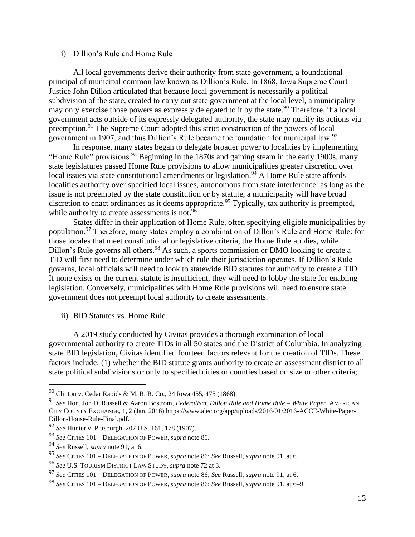#### i) Dillion's Rule and Home Rule

All local governments derive their authority from state government, a foundational principal of municipal common law known as Dillion's Rule. In 1868, Iowa Supreme Court Justice John Dillon articulated that because local government is necessarily a political subdivision of the state, created to carry out state government at the local level, a municipality may only exercise those powers as expressly delegated to it by the state.<sup>90</sup> Therefore, if a local government acts outside of its expressly delegated authority, the state may nullify its actions via preemption.<sup>91</sup> The Supreme Court adopted this strict construction of the powers of local government in 1907, and thus Dillion's Rule became the foundation for municipal law.<sup>92</sup>

In response, many states began to delegate broader power to localities by implementing "Home Rule" provisions.<sup>93</sup> Beginning in the 1870s and gaining steam in the early 1900s, many state legislatures passed Home Rule provisions to allow municipalities greater discretion over local issues via state constitutional amendments or legislation.<sup>94</sup> A Home Rule state affords localities authority over specified local issues, autonomous from state interference: as long as the issue is not preempted by the state constitution or by statute, a municipality will have broad discretion to enact ordinances as it deems appropriate.<sup>95</sup> Typically, tax authority is preempted, while authority to create assessments is not.<sup>96</sup>

States differ in their application of Home Rule, often specifying eligible municipalities by population.<sup>97</sup> Therefore, many states employ a combination of Dillon's Rule and Home Rule: for those locales that meet constitutional or legislative criteria, the Home Rule applies, while Dillon's Rule governs all others.<sup>98</sup> As such, a sports commission or DMO looking to create a TID will first need to determine under which rule their jurisdiction operates. If Dillion's Rule governs, local officials will need to look to statewide BID statutes for authority to create a TID. If none exists or the current statute is insufficient, they will need to lobby the state for enabling legislation. Conversely, municipalities with Home Rule provisions will need to ensure state government does not preempt local authority to create assessments.

ii) BID Statutes vs. Home Rule

A 2019 study conducted by Civitas provides a thorough examination of local governmental authority to create TIDs in all 50 states and the District of Columbia. In analyzing state BID legislation, Civitas identified fourteen factors relevant for the creation of TIDs. These factors include: (1) whether the BID statute grants authority to create an assessment district to all state political subdivisions or only to specified cities or counties based on size or other criteria;

<sup>90</sup> Clinton v. Cedar Rapids & M. R. R. Co., 24 Iowa 455, 475 (1868).

<sup>91</sup> *See* Hon. Jon D. Russell & Aaron Bostrom, *Federalism, Dillon Rule and Home Rule – White Paper*, AMERICAN CITY COUNTY EXCHANGE, 1, 2 (Jan. 2016) [https://www.alec.org/app/uploads/2016/01/2016-ACCE-White-Paper-](https://www.alec.org/app/uploads/2016/01/2016-ACCE-White-Paper-Dillon-House-Rule-Final.pdf)[Dillon-House-Rule-Final.pdf.](https://www.alec.org/app/uploads/2016/01/2016-ACCE-White-Paper-Dillon-House-Rule-Final.pdf)

<sup>92</sup> *See* Hunter v. Pittsburgh, 207 U.S. 161, 178 (1907).

<sup>93</sup> *See* CITIES 101 – DELEGATION OF POWER, *supra* note 86.

<sup>94</sup> *See* Russell, *supra* note 91, at 6.

<sup>95</sup> *See* CITIES 101 – DELEGATION OF POWER, *supra* note 86; *See* Russell, *supra* note 91, at 6.

<sup>96</sup> *See* U.S. TOURISM DISTRICT LAW STUDY, *supra* note 72 at 3.

<sup>97</sup> *See* CITIES 101 – DELEGATION OF POWER, *supra* note 86; *See* Russell, *supra* note 91, at 6.

<sup>98</sup> *See* CITIES 101 – DELEGATION OF POWER, *supra* note 86; *See* Russell, *supra* note 91, at 6–9.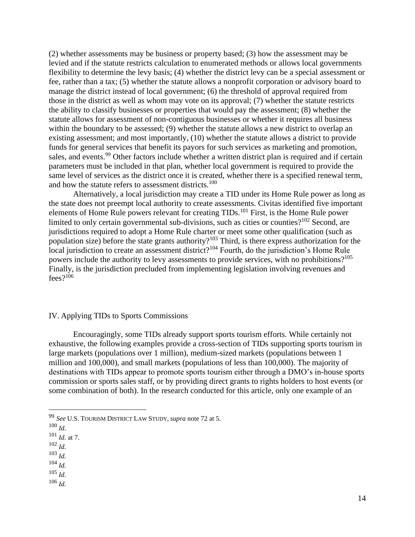(2) whether assessments may be business or property based; (3) how the assessment may be levied and if the statute restricts calculation to enumerated methods or allows local governments flexibility to determine the levy basis; (4) whether the district levy can be a special assessment or fee, rather than a tax; (5) whether the statute allows a nonprofit corporation or advisory board to manage the district instead of local government; (6) the threshold of approval required from those in the district as well as whom may vote on its approval; (7) whether the statute restricts the ability to classify businesses or properties that would pay the assessment; (8) whether the statute allows for assessment of non-contiguous businesses or whether it requires all business within the boundary to be assessed; (9) whether the statute allows a new district to overlap an existing assessment; and most importantly, (10) whether the statute allows a district to provide funds for general services that benefit its payors for such services as marketing and promotion, sales, and events.<sup>99</sup> Other factors include whether a written district plan is required and if certain parameters must be included in that plan, whether local government is required to provide the same level of services as the district once it is created, whether there is a specified renewal term, and how the statute refers to assessment districts.<sup>100</sup>

Alternatively, a local jurisdiction may create a TID under its Home Rule power as long as the state does not preempt local authority to create assessments. Civitas identified five important elements of Home Rule powers relevant for creating TIDs.<sup>101</sup> First, is the Home Rule power limited to only certain governmental sub-divisions, such as cities or counties?<sup>102</sup> Second, are jurisdictions required to adopt a Home Rule charter or meet some other qualification (such as population size) before the state grants authority?<sup>103</sup> Third, is there express authorization for the local jurisdiction to create an assessment district?<sup>104</sup> Fourth, do the jurisdiction's Home Rule powers include the authority to levy assessments to provide services, with no prohibitions?<sup>105</sup> Finally, is the jurisdiction precluded from implementing legislation involving revenues and  $fees$ ?<sup>106</sup>

#### IV. Applying TIDs to Sports Commissions

Encouragingly, some TIDs already support sports tourism efforts. While certainly not exhaustive, the following examples provide a cross-section of TIDs supporting sports tourism in large markets (populations over 1 million), medium-sized markets (populations between 1 million and 100,000), and small markets (populations of less than 100,000). The majority of destinations with TIDs appear to promote sports tourism either through a DMO's in-house sports commission or sports sales staff, or by providing direct grants to rights holders to host events (or some combination of both). In the research conducted for this article, only one example of an

<sup>102</sup> *Id.*

<sup>104</sup> *Id.*

<sup>106</sup> *Id.*

<sup>99</sup> *See* U.S. TOURISM DISTRICT LAW STUDY, *supra* note 72 at 5.

<sup>100</sup> *Id.*

<sup>101</sup> *Id.* at 7.

<sup>103</sup> *Id.*

<sup>105</sup> *Id.*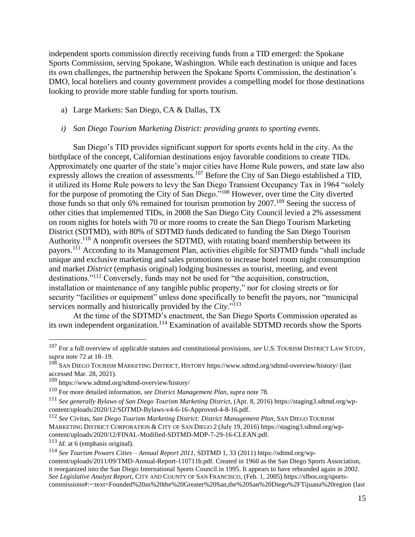independent sports commission directly receiving funds from a TID emerged: the Spokane Sports Commission, serving Spokane, Washington. While each destination is unique and faces its own challenges, the partnership between the Spokane Sports Commission, the destination's DMO, local hoteliers and county government provides a compelling model for those destinations looking to provide more stable funding for sports tourism.

a) Large Markets: San Diego, CA & Dallas, TX

#### *i) San Diego Tourism Marketing District: providing grants to sporting events.*

San Diego's TID provides significant support for sports events held in the city. As the birthplace of the concept, Californian destinations enjoy favorable conditions to create TIDs. Approximately one quarter of the state's major cities have Home Rule powers, and state law also expressly allows the creation of assessments.<sup>107</sup> Before the City of San Diego established a TID, it utilized its Home Rule powers to levy the San Diego Transient Occupancy Tax in 1964 "solely for the purpose of promoting the City of San Diego."<sup>108</sup> However, over time the City diverted those funds so that only 6% remained for tourism promotion by 2007.<sup>109</sup> Seeing the success of other cities that implemented TIDs, in 2008 the San Diego City Council levied a 2% assessment on room nights for hotels with 70 or more rooms to create the San Diego Tourism Marketing District (SDTMD), with 80% of SDTMD funds dedicated to funding the San Diego Tourism Authority.<sup>110</sup> A nonprofit oversees the SDTMD, with rotating board membership between its payors.<sup>111</sup> According to its Management Plan, activities eligible for SDTMD funds "shall include" unique and exclusive marketing and sales promotions to increase hotel room night consumption and market *District* (emphasis original) lodging businesses as tourist, meeting, and event destinations."<sup>112</sup> Conversely, funds may not be used for "the acquisition, construction, installation or maintenance of any tangible public property," nor for closing streets or for security "facilities or equipment" unless done specifically to benefit the payors, nor "municipal services normally and historically provided by the *City*."<sup>113</sup>

At the time of the SDTMD's enactment, the San Diego Sports Commission operated as its own independent organization.<sup>114</sup> Examination of available SDTMD records show the Sports

<sup>113</sup> *Id.* at 6 (emphasis original).

<sup>107</sup> For a full overview of applicable statutes and constitutional provisions, *see* U.S. TOURISM DISTRICT LAW STUDY, *supra* note 72 at 18–19.

<sup>108</sup> SAN DIEGO TOURISM MARKETING DISTRICT, HISTORY <https://www.sdtmd.org/sdtmd-overview/history/> (last accessed Mar. 28, 2021).

<sup>109</sup> <https://www.sdtmd.org/sdtmd-overview/history/>

<sup>110</sup> For more detailed information, *see District Management Plan*, *supra* note 78.

<sup>111</sup> *See generally Bylaws of San Diego Tourism Marketing District*, (Apr. 8, 2016[\) https://staging3.sdtmd.org/wp](https://staging3.sdtmd.org/wp-content/uploads/2020/12/SDTMD-Bylaws-v4-6-16-Approved-4-8-16.pdf)[content/uploads/2020/12/SDTMD-Bylaws-v4-6-16-Approved-4-8-16.pdf.](https://staging3.sdtmd.org/wp-content/uploads/2020/12/SDTMD-Bylaws-v4-6-16-Approved-4-8-16.pdf)

<sup>112</sup> *See* Civitas, *San Diego Tourism Marketing District: District Management Plan,* SAN DIEGO TOURISM MARKETING DISTRICT CORPORATION & CITY OF SAN DIEGO 2 (July 19, 2016) [https://staging3.sdtmd.org/wp](https://staging3.sdtmd.org/wp-content/uploads/2020/12/FINAL-Modified-SDTMD-MDP-7-29-16-CLEAN.pdf)[content/uploads/2020/12/FINAL-Modified-SDTMD-MDP-7-29-16-CLEAN.pdf.](https://staging3.sdtmd.org/wp-content/uploads/2020/12/FINAL-Modified-SDTMD-MDP-7-29-16-CLEAN.pdf)

<sup>114</sup> *See Tourism Powers Cities – Annual Report 2011*, SDTMD 1, 33 (2011) [https://sdtmd.org/wp](https://sdtmd.org/wp-content/uploads/2011/09/TMD-Annual-Report-110711b.pdf)[content/uploads/2011/09/TMD-Annual-Report-110711b.pdf.](https://sdtmd.org/wp-content/uploads/2011/09/TMD-Annual-Report-110711b.pdf) Created in 1960 as the San Diego Sports Association, it reorganized into the San Diego International Sports Council in 1995. It appears to have rebranded again in 2002. *See Legislative Analyst Report*, CITY AND COUNTY OF SAN FRANCISCO, (Feb. 1, 2005) [https://sfbos.org/sports](https://sfbos.org/sports-commissions#:~:text=Founded%20as%20the%20Greater%20San,the%20San%20Diego%2FTijuana%20region)[commissions#:~:text=Founded%20as%20the%20Greater%20San,the%20San%20Diego%2FTijuana%20region](https://sfbos.org/sports-commissions#:~:text=Founded%20as%20the%20Greater%20San,the%20San%20Diego%2FTijuana%20region) (last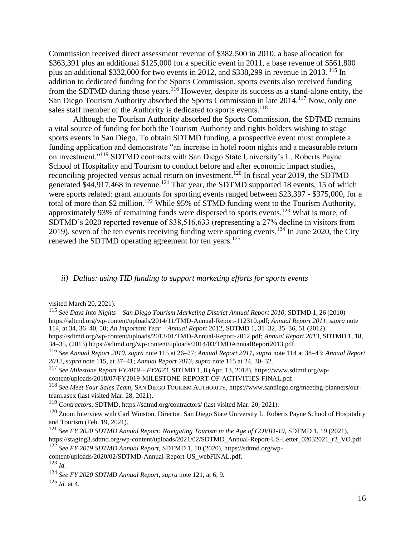Commission received direct assessment revenue of \$382,500 in 2010, a base allocation for \$363,391 plus an additional \$125,000 for a specific event in 2011, a base revenue of \$561,800 plus an additional \$332,000 for two events in 2012, and \$338,299 in revenue in 2013. <sup>115</sup> In addition to dedicated funding for the Sports Commission, sports events also received funding from the SDTMD during those years.<sup>116</sup> However, despite its success as a stand-alone entity, the San Diego Tourism Authority absorbed the Sports Commission in late 2014.<sup>117</sup> Now, only one sales staff member of the Authority is dedicated to sports events.<sup>118</sup>

Although the Tourism Authority absorbed the Sports Commission, the SDTMD remains a vital source of funding for both the Tourism Authority and rights holders wishing to stage sports events in San Diego. To obtain SDTMD funding, a prospective event must complete a funding application and demonstrate "an increase in hotel room nights and a measurable return on investment."<sup>119</sup> SDTMD contracts with San Diego State University's L. Roberts Payne School of Hospitality and Tourism to conduct before and after economic impact studies, reconciling projected versus actual return on investment.<sup>120</sup> In fiscal year 2019, the SDTMD generated  $$44,917,468$  in revenue.<sup>121</sup> That year, the SDTMD supported 18 events, 15 of which were sports related: grant amounts for sporting events ranged between \$23,397 - \$375,000, for a total of more than \$2 million.<sup>122</sup> While 95% of STMD funding went to the Tourism Authority, approximately 93% of remaining funds were dispersed to sports events.<sup>123</sup> What is more, of SDTMD's 2020 reported revenue of \$38,516,633 (representing a 27% decline in visitors from 2019), seven of the ten events receiving funding were sporting events.<sup>124</sup> In June 2020, the City renewed the SDTMD operating agreement for ten years.<sup>125</sup>

*ii) Dallas: using TID funding to support marketing efforts for sports events*

visited March 20, 2021).

<sup>115</sup> *See Days Into Nights – San Diego Tourism Marketing District Annual Report 2010*, SDTMD 1, 26 (2010) [https://sdtmd.org/wp-content/uploads/2014/11/TMD-Annual-Report-112310.pdf;](https://sdtmd.org/wp-content/uploads/2014/11/TMD-Annual-Report-112310.pdf) *Annual Report 2011*, *supra* note 114, at 34, 36–40, 50; *An Important Year – Annual Report* 2012, SDTMD 1, 31–32, 35–36, 51 (2012) [https://sdtmd.org/wp-content/uploads/2013/01/TMD-Annual-Report-2012.pdf;](https://sdtmd.org/wp-content/uploads/2013/01/TMD-Annual-Report-2012.pdf) *Annual Report 2013*, SDTMD 1, 18,

<sup>34–35, (2013)</sup> [https://sdtmd.org/wp-content/uploads/2014/03/TMDAnnualReport2013.pdf.](https://sdtmd.org/wp-content/uploads/2014/03/TMDAnnualReport2013.pdf)

<sup>116</sup> *See Annual Report 2010*, *supra* note 115 at 26–27; *Annual Report 2011*, *supra* note 114 at 38–43; *Annual Report 2012*, *supra* note 115, at 37–41; *Annual Report 2013*, *supra* note 115 at 24, 30–32.

<sup>117</sup> *See Milestone Report FY2019 – FY2023*, SDTMD 1, 8 (Apr. 13, 2018), [https://www.sdtmd.org/wp](https://www.sdtmd.org/wp-content/uploads/2018/07/FY2019-MILESTONE-REPORT-OF-ACTIVITIES-FINAL.pdf)[content/uploads/2018/07/FY2019-MILESTONE-REPORT-OF-ACTIVITIES-FINAL.pdf.](https://www.sdtmd.org/wp-content/uploads/2018/07/FY2019-MILESTONE-REPORT-OF-ACTIVITIES-FINAL.pdf)

<sup>118</sup> *See Meet Your Sales Team,* SAN DIEGO TOURISM AUTHORITY, [https://www.sandiego.org/meeting-planners/our](https://www.sandiego.org/meeting-planners/our-team.aspx)[team.aspx](https://www.sandiego.org/meeting-planners/our-team.aspx) (last visited Mar. 28, 2021).

<sup>119</sup> *Contractors*, SDTMD*,* <https://sdtmd.org/contractors/> (last visited Mar. 20, 2021).

 $120$  Zoom Interview with Carl Winston, Director, San Diego State University L. Roberts Payne School of Hospitality and Tourism (Feb. 19, 2021).

<sup>121</sup> *See FY 2020 SDTMD Annual Report: Navigating Tourism in the Age of COVID-19*, SDTMD 1, 19 (2021), [https://staging3.sdtmd.org/wp-content/uploads/2021/02/SDTMD\\_Annual-Report-US-Letter\\_02032021\\_r2\\_VO.pdf](https://staging3.sdtmd.org/wp-content/uploads/2021/02/SDTMD_Annual-Report-US-Letter_02032021_r2_VO.pdf)

<sup>122</sup> *See FY 2019 SDTMD Annual Report*, SDTMD 1, 10 (2020)[, https://sdtmd.org/wp-](https://sdtmd.org/wp-content/uploads/2020/02/SDTMD-Annual-Report-US_webFINAL.pdf)

[content/uploads/2020/02/SDTMD-Annual-Report-US\\_webFINAL.pdf.](https://sdtmd.org/wp-content/uploads/2020/02/SDTMD-Annual-Report-US_webFINAL.pdf)

<sup>123</sup> *Id.*

<sup>124</sup> *See FY 2020 SDTMD Annual Report*, *supra* note 121, at 6, 9.

<sup>125</sup> *Id.* at 4.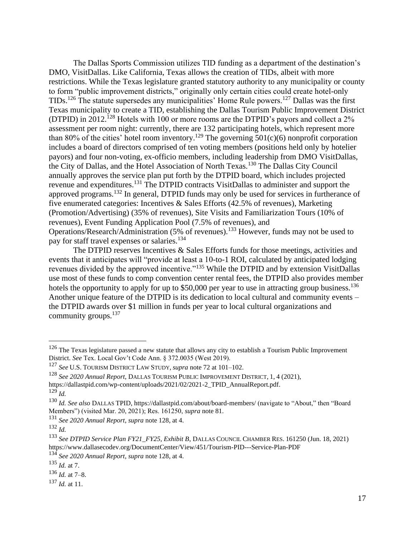The Dallas Sports Commission utilizes TID funding as a department of the destination's DMO, VisitDallas. Like California, Texas allows the creation of TIDs, albeit with more restrictions. While the Texas legislature granted statutory authority to any municipality or county to form "public improvement districts," originally only certain cities could create hotel-only TIDs.<sup>126</sup> The statute supersedes any municipalities' Home Rule powers.<sup>127</sup> Dallas was the first Texas municipality to create a TID, establishing the Dallas Tourism Public Improvement District (DTPID) in 2012.<sup>128</sup> Hotels with 100 or more rooms are the DTPID's payors and collect a 2% assessment per room night: currently, there are 132 participating hotels, which represent more than 80% of the cities' hotel room inventory.<sup>129</sup> The governing  $501(c)(6)$  nonprofit corporation includes a board of directors comprised of ten voting members (positions held only by hotelier payors) and four non-voting, ex-officio members, including leadership from DMO VisitDallas, the City of Dallas, and the Hotel Association of North Texas.<sup>130</sup> The Dallas City Council annually approves the service plan put forth by the DTPID board, which includes projected revenue and expenditures.<sup>131</sup> The DTPID contracts VisitDallas to administer and support the approved programs.<sup>132</sup> In general, DTPID funds may only be used for services in furtherance of five enumerated categories: Incentives & Sales Efforts (42.5% of revenues), Marketing (Promotion/Advertising) (35% of revenues), Site Visits and Familiarization Tours (10% of revenues), Event Funding Application Pool (7.5% of revenues), and Operations/Research/Administration (5% of revenues).<sup>133</sup> However, funds may not be used to pay for staff travel expenses or salaries.<sup>134</sup>

The DTPID reserves Incentives & Sales Efforts funds for those meetings, activities and events that it anticipates will "provide at least a 10-to-1 ROI, calculated by anticipated lodging revenues divided by the approved incentive."<sup>135</sup> While the DTPID and by extension VisitDallas use most of these funds to comp convention center rental fees, the DTPID also provides member hotels the opportunity to apply for up to \$50,000 per year to use in attracting group business.<sup>136</sup> Another unique feature of the DTPID is its dedication to local cultural and community events – the DTPID awards over \$1 million in funds per year to local cultural organizations and community groups.<sup>137</sup>

<sup>&</sup>lt;sup>126</sup> The Texas legislature passed a new statute that allows any city to establish a Tourism Public Improvement District. *See* Tex. Local Gov't Code Ann. § 372.0035 (West 2019).

<sup>127</sup> *See* U.S. TOURISM DISTRICT LAW STUDY, *supra* note 72 at 101–102.

<sup>128</sup> *See 2020 Annual Report*, DALLAS TOURISM PUBLIC IMPROVEMENT DISTRICT, 1, 4 (2021),

[https://dallastpid.com/wp-content/uploads/2021/02/2021-2\\_TPID\\_AnnualReport.pdf.](https://dallastpid.com/wp-content/uploads/2021/02/2021-2_TPID_AnnualReport.pdf) <sup>129</sup> *Id.*

<sup>130</sup> *Id. See also* DALLAS TPID[, https://dallastpid.com/about/board-members/](https://dallastpid.com/about/board-members/) (navigate to "About," then "Board Members") (visited Mar. 20, 2021); Res. 161250, *supra* note 81.

<sup>131</sup> *See 2020 Annual Report*, *supra* note 128, at 4.

<sup>132</sup> *Id.*

<sup>133</sup> *See DTPID Service Plan FY21\_FY25, Exhibit B*, DALLAS COUNCIL CHAMBER RES. 161250 (Jun. 18, 2021) <https://www.dallasecodev.org/DocumentCenter/View/451/Tourism-PID---Service-Plan-PDF> <sup>134</sup> *See 2020 Annual Report*, *supra* note 128, at 4.

<sup>135</sup> *Id.* at 7.

 $136$  *Id.* at 7–8.

<sup>137</sup> *Id.* at 11.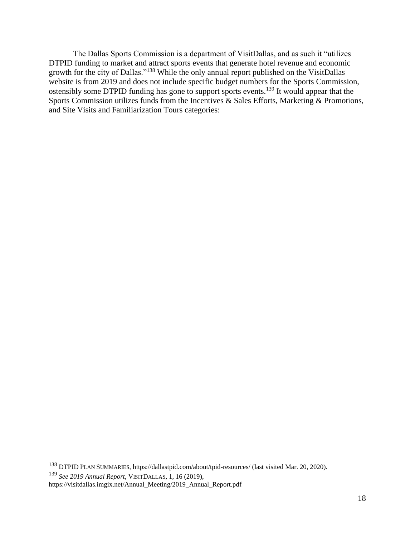The Dallas Sports Commission is a department of VisitDallas, and as such it "utilizes DTPID funding to market and attract sports events that generate hotel revenue and economic growth for the city of Dallas."<sup>138</sup> While the only annual report published on the VisitDallas website is from 2019 and does not include specific budget numbers for the Sports Commission, ostensibly some DTPID funding has gone to support sports events.<sup>139</sup> It would appear that the Sports Commission utilizes funds from the Incentives & Sales Efforts, Marketing & Promotions, and Site Visits and Familiarization Tours categories:

<sup>139</sup> *See 2019 Annual Report*, VISITDALLAS, 1, 16 (2019),

<sup>138</sup> DTPID PLAN SUMMARIES[, https://dallastpid.com/about/tpid-resources/](https://dallastpid.com/about/tpid-resources/) (last visited Mar. 20, 2020).

[https://visitdallas.imgix.net/Annual\\_Meeting/2019\\_Annual\\_Report.pdf](https://visitdallas.imgix.net/Annual_Meeting/2019_Annual_Report.pdf)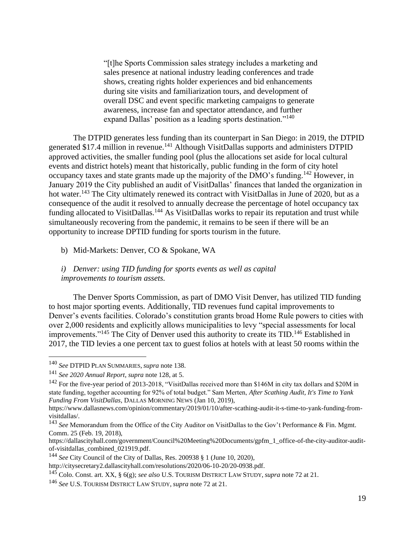"[t]he Sports Commission sales strategy includes a marketing and sales presence at national industry leading conferences and trade shows, creating rights holder experiences and bid enhancements during site visits and familiarization tours, and development of overall DSC and event specific marketing campaigns to generate awareness, increase fan and spectator attendance, and further expand Dallas' position as a leading sports destination."<sup>140</sup>

The DTPID generates less funding than its counterpart in San Diego: in 2019, the DTPID generated \$17.4 million in revenue.<sup>141</sup> Although VisitDallas supports and administers DTPID approved activities, the smaller funding pool (plus the allocations set aside for local cultural events and district hotels) meant that historically, public funding in the form of city hotel occupancy taxes and state grants made up the majority of the DMO's funding.<sup>142</sup> However, in January 2019 the City published an audit of VisitDallas' finances that landed the organization in hot water.<sup>143</sup> The City ultimately renewed its contract with VisitDallas in June of 2020, but as a consequence of the audit it resolved to annually decrease the percentage of hotel occupancy tax funding allocated to VisitDallas.<sup>144</sup> As VisitDallas works to repair its reputation and trust while simultaneously recovering from the pandemic, it remains to be seen if there will be an opportunity to increase DPTID funding for sports tourism in the future.

b) Mid-Markets: Denver, CO & Spokane, WA

*i) Denver: using TID funding for sports events as well as capital improvements to tourism assets.*

The Denver Sports Commission, as part of DMO Visit Denver, has utilized TID funding to host major sporting events. Additionally, TID revenues fund capital improvements to Denver's events facilities. Colorado's constitution grants broad Home Rule powers to cities with over 2,000 residents and explicitly allows municipalities to levy "special assessments for local improvements."<sup>145</sup> The City of Denver used this authority to create its TID.<sup>146</sup> Established in 2017, the TID levies a one percent tax to guest folios at hotels with at least 50 rooms within the

<sup>140</sup> *See* DTPID PLAN SUMMARIES, *supra* note 138.

<sup>141</sup> *See 2020 Annual Report*, *supra* note 128, at 5.

<sup>&</sup>lt;sup>142</sup> For the five-year period of 2013-2018, "VisitDallas received more than \$146M in city tax dollars and \$20M in state funding, together accounting for 92% of total budget." Sam Merten, *After Scathing Audit, It's Time to Yank Funding From VisitDallas*, DALLAS MORNING NEWS (Jan 10, 2019[\),](https://www.dallasnews.com/opinion/commentary/2019/01/10/after-scathing-audit-it-s-time-to-yank-funding-from-visitdallas/)

[https://www.dallasnews.com/opinion/commentary/2019/01/10/after-scathing-audit-it-s-time-to-yank-funding-from](https://www.dallasnews.com/opinion/commentary/2019/01/10/after-scathing-audit-it-s-time-to-yank-funding-from-visitdallas/)[visitdallas/](https://www.dallasnews.com/opinion/commentary/2019/01/10/after-scathing-audit-it-s-time-to-yank-funding-from-visitdallas/).

<sup>143</sup> *See* Memorandum from the Office of the City Auditor on VisitDallas to the Gov't Performance & Fin. Mgmt. Comm. 25 (Feb. 19, 2018),

[https://dallascityhall.com/government/Council%20Meeting%20Documents/gpfm\\_1\\_office-of-the-city-auditor-audit](https://dallascityhall.com/government/Council%20Meeting%20Documents/gpfm_1_office-of-the-city-auditor-audit-of-visitdallas_combined_021919.pdf)[of-visitdallas\\_combined\\_021919.pdf.](https://dallascityhall.com/government/Council%20Meeting%20Documents/gpfm_1_office-of-the-city-auditor-audit-of-visitdallas_combined_021919.pdf)

<sup>144</sup> *See* City Council of the City of Dallas, Res. 200938 § 1 (June 10, 2020),

[http://citysecretary2.dallascityhall.com/resolutions/2020/06-10-20/20-0938.pdf.](http://citysecretary2.dallascityhall.com/resolutions/2020/06-10-20/20-0938.pdf)

<sup>145</sup> Colo. Const. art. XX, § 6(g); *see also* U.S. TOURISM DISTRICT LAW STUDY, *supra* note 72 at 21.

<sup>146</sup> *See* U.S. TOURISM DISTRICT LAW STUDY, *supra* note 72 at 21.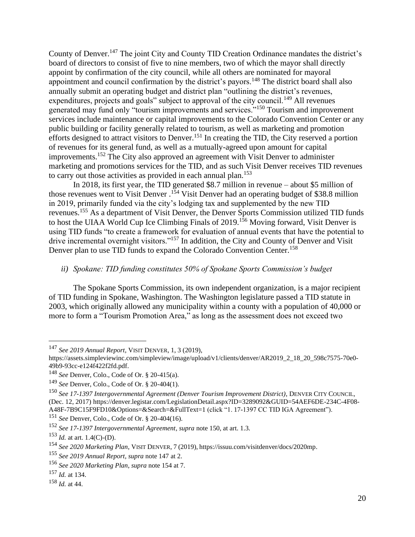County of Denver.<sup>147</sup> The joint City and County TID Creation Ordinance mandates the district's board of directors to consist of five to nine members, two of which the mayor shall directly appoint by confirmation of the city council, while all others are nominated for mayoral appointment and council confirmation by the district's payors.<sup>148</sup> The district board shall also annually submit an operating budget and district plan "outlining the district's revenues, expenditures, projects and goals" subject to approval of the city council.<sup>149</sup> All revenues generated may fund only "tourism improvements and services."<sup>150</sup> Tourism and improvement services include maintenance or capital improvements to the Colorado Convention Center or any public building or facility generally related to tourism, as well as marketing and promotion efforts designed to attract visitors to Denver.<sup>151</sup> In creating the TID, the City reserved a portion of revenues for its general fund, as well as a mutually-agreed upon amount for capital improvements.<sup>152</sup> The City also approved an agreement with Visit Denver to administer marketing and promotions services for the TID, and as such Visit Denver receives TID revenues to carry out those activities as provided in each annual plan.<sup>153</sup>

In 2018, its first year, the TID generated \$8.7 million in revenue – about \$5 million of those revenues went to Visit Denver.<sup>154</sup> Visit Denver had an operating budget of \$38.8 million in 2019, primarily funded via the city's lodging tax and supplemented by the new TID revenues.<sup>155</sup> As a department of Visit Denver, the Denver Sports Commission utilized TID funds to host the UIAA World Cup Ice Climbing Finals of 2019.<sup>156</sup> Moving forward, Visit Denver is using TID funds "to create a framework for evaluation of annual events that have the potential to drive incremental overnight visitors."<sup>157</sup> In addition, the City and County of Denver and Visit Denver plan to use TID funds to expand the Colorado Convention Center.<sup>158</sup>

#### *ii) Spokane: TID funding constitutes 50% of Spokane Sports Commission's budget*

The Spokane Sports Commission, its own independent organization, is a major recipient of TID funding in Spokane, Washington. The Washington legislature passed a TID statute in 2003, which originally allowed any municipality within a county with a population of 40,000 or more to form a "Tourism Promotion Area," as long as the assessment does not exceed two

<sup>147</sup> *See 2019 Annual Report*, VISIT DENVER, 1, 3 (2019),

[https://assets.simpleviewinc.com/simpleview/image/upload/v1/clients/denver/AR2019\\_2\\_18\\_20\\_598c7575-70e0-](https://assets.simpleviewinc.com/simpleview/image/upload/v1/clients/denver/AR2019_2_18_20_598c7575-70e0-49b9-93cc-e124f422f2fd.pdf) [49b9-93cc-e124f422f2fd.pdf.](https://assets.simpleviewinc.com/simpleview/image/upload/v1/clients/denver/AR2019_2_18_20_598c7575-70e0-49b9-93cc-e124f422f2fd.pdf)

<sup>148</sup> *See* Denver, Colo., Code of Or. § 20-415(a).

<sup>149</sup> *See* Denver, Colo., Code of Or. § 20-404(1).

<sup>150</sup> *See 17-1397 Intergovernmental Agreement (Denver Tourism Improvement District)*, DENVER CITY COUNCIL*,* (Dec. 12, 2017) [https://denver.legistar.com/LegislationDetail.aspx?ID=3289092&GUID=54AEF6DE-234C-4F08-](https://denver.legistar.com/LegislationDetail.aspx?ID=3289092&GUID=54AEF6DE-234C-4F08-A48F-7B9C15F9FD10&Options=&Search=&FullText=1) [A48F-7B9C15F9FD10&Options=&Search=&FullText=1](https://denver.legistar.com/LegislationDetail.aspx?ID=3289092&GUID=54AEF6DE-234C-4F08-A48F-7B9C15F9FD10&Options=&Search=&FullText=1) (click "1. 17-1397 CC TID IGA Agreement").

<sup>151</sup> *See* Denver, Colo., Code of Or. § 20-404(16).

<sup>152</sup> *See 17-1397 Intergovernmental Agreement*, *supra* note 150, at art. 1.3.

 $153$  *Id.* at art. 1.4(C)-(D).

<sup>154</sup> *See 2020 Marketing Plan*, VISIT DENVER*,* 7 (2019), [https://issuu.com/visitdenver/docs/2020mp.](https://issuu.com/visitdenver/docs/2020mp)

<sup>155</sup> *See 2019 Annual Report*, *supra* note 147 at 2.

<sup>156</sup> *See 2020 Marketing Plan*, *supra* note 154 at 7.

<sup>157</sup> *Id.* at 134.

<sup>158</sup> *Id.* at 44.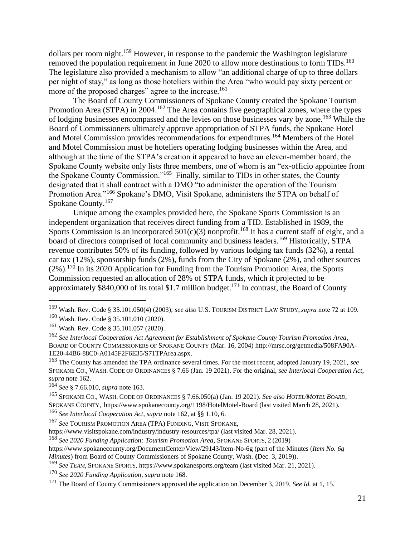dollars per room night.<sup>159</sup> However, in response to the pandemic the Washington legislature removed the population requirement in June 2020 to allow more destinations to form TIDs.<sup>160</sup> The legislature also provided a mechanism to allow "an additional charge of up to three dollars per night of stay," as long as those hoteliers within the Area "who would pay sixty percent or more of the proposed charges" agree to the increase.<sup>161</sup>

The Board of County Commissioners of Spokane County created the Spokane Tourism Promotion Area (STPA) in 2004.<sup>162</sup> The Area contains five geographical zones, where the types of lodging businesses encompassed and the levies on those businesses vary by zone.<sup>163</sup> While the Board of Commissioners ultimately approve appropriation of STPA funds, the Spokane Hotel and Motel Commission provides recommendations for expenditures.<sup>164</sup> Members of the Hotel and Motel Commission must be hoteliers operating lodging businesses within the Area, and although at the time of the STPA's creation it appeared to have an eleven-member board, the Spokane County website only lists three members, one of whom is an "ex-officio appointee from the Spokane County Commission."<sup>165</sup> Finally, similar to TIDs in other states, the County designated that it shall contract with a DMO "to administer the operation of the Tourism Promotion Area."<sup>166</sup> Spokane's DMO, Visit Spokane, administers the STPA on behalf of Spokane County.<sup>167</sup>

Unique among the examples provided here, the Spokane Sports Commission is an independent organization that receives direct funding from a TID. Established in 1989, the Sports Commission is an incorporated  $501(c)(3)$  nonprofit.<sup>168</sup> It has a current staff of eight, and a board of directors comprised of local community and business leaders.<sup>169</sup> Historically, STPA revenue contributes 50% of its funding, followed by various lodging tax funds (32%), a rental car tax (12%), sponsorship funds (2%), funds from the City of Spokane (2%), and other sources (2%).<sup>170</sup> In its 2020 Application for Funding from the Tourism Promotion Area, the Sports Commission requested an allocation of 28% of STPA funds, which it projected to be approximately  $$840,000$  of its total \$1.7 million budget.<sup>171</sup> In contrast, the Board of County

<sup>159</sup> Wash. Rev. Code § 35.101.050(4) (2003); *see also* U.S. TOURISM DISTRICT LAW STUDY, *supra* note 72 at 109. <sup>160</sup> Wash. Rev. Code § 35.101.010 (2020).

<sup>161</sup> Wash. Rev. Code § 35.101.057 (2020).

<sup>162</sup> *See Interlocal Cooperation Act Agreement for Establishment of Spokane County Tourism Promotion Area*, BOARD OF COUNTY COMMISSIONERS OF SPOKANE COUNTY (Mar. 16, 2004[\) http://mrsc.org/getmedia/508FA90A-](http://mrsc.org/getmedia/508FA90A-1E20-44B6-88C0-A0145F2F6E35/S71TPArea.aspx)[1E20-44B6-88C0-A0145F2F6E35/S71TPArea.aspx.](http://mrsc.org/getmedia/508FA90A-1E20-44B6-88C0-A0145F2F6E35/S71TPArea.aspx)

<sup>163</sup> The County has amended the TPA ordinance several times. For the most recent, adopted January 19, 2021, *see*  SPOKANE CO., WASH. CODE OF ORDINANCES [§ 7.66](https://plus.lexis.com/api/document/collection/statutes-legislation/id/62V6-VR11-JDTW-P239-00000-00?cite=Spokane%20County%2C%20Washington%20Code%20of%20Ordinances%20Sec.%207.66.010&context=1530671) (Jan. 19 2021). For the original, *see Interlocal Cooperation Act*, *supra* note 162.

<sup>164</sup> *See* § 7.66.010, *supra* note 163.

<sup>165</sup> SPOKANE CO., WASH. CODE OF ORDINANCES [§ 7.66.050\(a\)](https://plus.lexis.com/api/document/collection/statutes-legislation/id/62V6-VR11-JDTW-P23G-00000-00?cite=Spokane%20County%2C%20Washington%20Code%20of%20Ordinances%20Sec.%207.66.050&context=1530671) (Jan. 19 2021). *See also HOTEL/MOTEL BOARD*, SPOKANE COUNTY, <https://www.spokanecounty.org/1198/HotelMotel-Board> (last visited March 28, 2021).

<sup>166</sup> *See Interlocal Cooperation Act*, *supra* note 162, at §§ 1.10, 6.

<sup>167</sup> *See* TOURISM PROMOTION AREA (TPA) FUNDING, VISIT SPOKANE,

<https://www.visitspokane.com/industry/industry-resources/tpa/> (last visited Mar. 28, 2021).

<sup>168</sup> *See 2020 Funding Application: Tourism Promotion Area*, SPOKANE SPORTS*,* 2 (2019)

<https://www.spokanecounty.org/DocumentCenter/View/29143/Item-No-6g> (part of the Minutes (*Item No. 6g Minutes*) from Board of County Commissioners of Spokane County, Wash. **(**Dec. 3, 2019)).

<sup>169</sup> *See TEAM*, SPOKANE SPORTS,<https://www.spokanesports.org/team> (last visited Mar. 21, 2021).

<sup>170</sup> *See 2020 Funding Application*, *supra* note 168.

<sup>171</sup> The Board of County Commissioners approved the application on December 3, 2019. *See Id.* at 1, 15.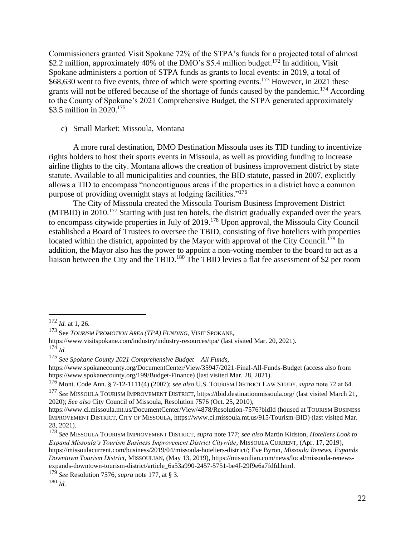Commissioners granted Visit Spokane 72% of the STPA's funds for a projected total of almost \$2.2 million, approximately 40% of the DMO's \$5.4 million budget.<sup>172</sup> In addition, Visit Spokane administers a portion of STPA funds as grants to local events: in 2019, a total of \$68,630 went to five events, three of which were sporting events.<sup>173</sup> However, in 2021 these grants will not be offered because of the shortage of funds caused by the pandemic.<sup>174</sup> According to the County of Spokane's 2021 Comprehensive Budget, the STPA generated approximately \$3.5 million in 2020.<sup>175</sup>

#### c) Small Market: Missoula, Montana

A more rural destination, DMO Destination Missoula uses its TID funding to incentivize rights holders to host their sports events in Missoula, as well as providing funding to increase airline flights to the city. Montana allows the creation of business improvement district by state statute. Available to all municipalities and counties, the BID statute, passed in 2007, explicitly allows a TID to encompass "noncontiguous areas if the properties in a district have a common purpose of providing overnight stays at lodging facilities."<sup>176</sup>

The City of Missoula created the Missoula Tourism Business Improvement District (MTBID) in 2010.<sup>177</sup> Starting with just ten hotels, the district gradually expanded over the years to encompass citywide properties in July of 2019.<sup>178</sup> Upon approval, the Missoula City Council established a Board of Trustees to oversee the TBID, consisting of five hoteliers with properties located within the district, appointed by the Mayor with approval of the City Council.<sup>179</sup> In addition, the Mayor also has the power to appoint a non-voting member to the board to act as a liaison between the City and the TBID.<sup>180</sup> The TBID levies a flat fee assessment of \$2 per room

<sup>172</sup> *Id.* at 1, 26.

<sup>173</sup> See *TOURISM PROMOTION AREA (TPA) FUNDING*, VISIT SPOKANE,

<https://www.visitspokane.com/industry/industry-resources/tpa/> (last visited Mar. 20, 2021).  $174$  *Id.* 

<sup>175</sup> *See Spokane County 2021 Comprehensive Budget – All Funds,*

<https://www.spokanecounty.org/DocumentCenter/View/35947/2021-Final-All-Funds-Budget> (access also from [https://www.spokanecounty.org/199/Budget-Finance\)](https://www.spokanecounty.org/199/Budget-Finance)) (last visited Mar. 28, 2021).

<sup>176</sup> Mont. Code Ann. § 7-12-1111(4) (2007); *see also* U.S. TOURISM DISTRICT LAW STUDY, *supra* note 72 at 64.

<sup>177</sup> *See* MISSOULA TOURISM IMPROVEMENT DISTRICT[, https://tbid.destinationmissoula.org/](https://tbid.destinationmissoula.org/) (last visited March 21, 2020); *See also* City Council of Missoula, Resolution 7576 (Oct. 25, 2010),

<https://www.ci.missoula.mt.us/DocumentCenter/View/4878/Resolution-7576?bidId> (housed at TOURISM BUSINESS IMPROVEMENT DISTRICT, CITY OF MISSOULA, [https://www.ci.missoula.mt.us/915/Tourism-BID\)](https://www.ci.missoula.mt.us/915/Tourism-BID)) (last visited Mar. 28, 2021).

<sup>178</sup> *See* MISSOULA TOURISM IMPROVEMENT DISTRICT, *supra* note 177; *see also* Martin Kidston, *Hoteliers Look to Expand Missoula's Tourism Business Improvement District Citywide*, MISSOULA CURRENT, (Apr. 17, 2019), [https://missoulacurrent.com/business/2019/04/missoula-hoteliers-district/;](https://missoulacurrent.com/business/2019/04/missoula-hoteliers-district/) Eve Byron, *Missoula Renews, Expands Downtown Tourism District,* MISSOULIAN, (May 13, 2019), [https://missoulian.com/news/local/missoula-renews](https://missoulian.com/news/local/missoula-renews-expands-downtown-tourism-district/article_6a53a990-2457-5751-be4f-29f9e6a7fdfd.html)[expands-downtown-tourism-district/article\\_6a53a990-2457-5751-be4f-29f9e6a7fdfd.html.](https://missoulian.com/news/local/missoula-renews-expands-downtown-tourism-district/article_6a53a990-2457-5751-be4f-29f9e6a7fdfd.html)

<sup>179</sup> *See* Resolution 7576, *supra* note 177, at § 3.

<sup>180</sup> *Id.*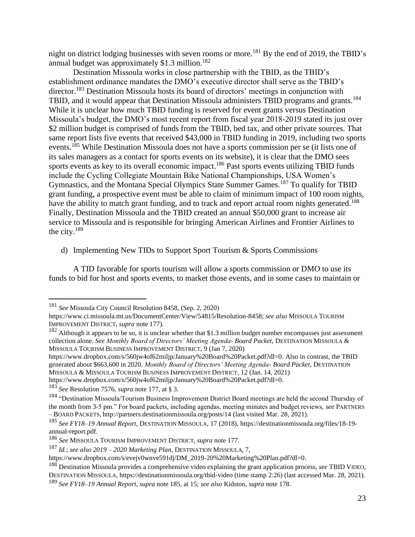night on district lodging businesses with seven rooms or more.<sup>181</sup> By the end of 2019, the TBID's annual budget was approximately  $$1.3$  million.<sup>182</sup>

Destination Missoula works in close partnership with the TBID, as the TBID's establishment ordinance mandates the DMO's executive director shall serve as the TBID's director.<sup>183</sup> Destination Missoula hosts its board of directors' meetings in conjunction with TBID, and it would appear that Destination Missoula administers TBID programs and grants.<sup>184</sup> While it is unclear how much TBID funding is reserved for event grants versus Destination Missoula's budget, the DMO's most recent report from fiscal year 2018-2019 stated its just over \$2 million budget is comprised of funds from the TBID, bed tax, and other private sources. That same report lists five events that received \$43,000 in TBID funding in 2019, including two sports events.<sup>185</sup> While Destination Missoula does not have a sports commission per se (it lists one of its sales managers as a contact for sports events on its website), it is clear that the DMO sees sports events as key to its overall economic impact.<sup>186</sup> Past sports events utilizing TBID funds include the Cycling Collegiate Mountain Bike National Championships, USA Women's Gymnastics, and the Montana Special Olympics State Summer Games.<sup>187</sup> To qualify for TBID grant funding, a prospective event must be able to claim of minimum impact of 100 room nights, have the ability to match grant funding, and to track and report actual room nights generated.<sup>188</sup> Finally, Destination Missoula and the TBID created an annual \$50,000 grant to increase air service to Missoula and is responsible for bringing American Airlines and Frontier Airlines to the city. $189$ 

d) Implementing New TIDs to Support Sport Tourism & Sports Commissions

A TID favorable for sports tourism will allow a sports commission or DMO to use its funds to bid for host and sports events, to market those events, and in some cases to maintain or

[https://www.dropbox.com/s/560jw4of62miljp/January%20Board%20Packet.pdf?dl=0.](https://www.dropbox.com/s/560jw4of62miljp/January%20Board%20Packet.pdf?dl=0)

<sup>181</sup> *See* Missoula City Council Resolution 8458, (Sep. 2, 2020)

[https://www.ci.missoula.mt.us/DocumentCenter/View/54815/Resolution-8458;](https://www.ci.missoula.mt.us/DocumentCenter/View/54815/Resolution-8458) *see also* MISSOULA TOURISM IMPROVEMENT DISTRICT, *supra* note 177).

 $182$  Although it appears to be so, it is unclear whether that \$1.3 million budget number encompasses just assessment collection alone. *See Monthly Board of Directors' Meeting Agenda- Board Packet*, DESTINATION MISSOULA & MISSOULA TOURISM BUSINESS IMPROVEMENT DISTRICT, 9 (Jan 7, 2020)

[https://www.dropbox.com/s/560jw4of62miljp/January%20Board%20Packet.pdf?dl=0.](https://www.dropbox.com/s/560jw4of62miljp/January%20Board%20Packet.pdf?dl=0) Also in contrast, the TBID generated about \$663,600 in 2020. *Monthly Board of Directors' Meeting Agenda- Board Packet*, DESTINATION MISSOULA & MISSOULA TOURISM BUSINESS IMPROVEMENT DISTRICT, 12 (Jan. 14, 2021)

<sup>183</sup> *See* Resolution 7576, *supra* note 177, at § 3.

<sup>&</sup>lt;sup>184</sup> "Destination Missoula/Tourism Business Improvement District Board meetings are held the second Thursday of the month from 3-5 pm." For board packets, including agendas, meeting minutes and budget reviews, *see* PARTNERS – BOARD PACKETS, <http://partners.destinationmissoula.org/posts/14> (last visited Mar. 28, 2021).

<sup>185</sup> *See FY18–19 Annual Report*, DESTINATION MISSOULA*,* 17 (2018)[, https://destinationmissoula.org/files/18-19](https://destinationmissoula.org/files/18-19-annual-report.pdf) [annual-report.pdf.](https://destinationmissoula.org/files/18-19-annual-report.pdf)

<sup>186</sup> *See* MISSOULA TOURISM IMPROVEMENT DISTRICT, *supra* note 177.

<sup>187</sup> *Id.*; *see also 2019 – 2020 Marketing Plan*, DESTINATION MISSOULA, 7,

[https://www.dropbox.com/s/evejv0wnve591dj/DM\\_2019-20%20Marketing%20Plan.pdf?dl=0.](https://www.dropbox.com/s/evejv0wnve591dj/DM_2019-20%20Marketing%20Plan.pdf?dl=0)

<sup>188</sup> Destination Missoula provides a comprehensive video explaining the grant application process, *see* TBID VIDEO, DESTINATION MISSOULA,<https://destinationmissoula.org/tbid-video> (time stamp 2:26) (last accessed Mar. 28, 2021). <sup>189</sup> *See FY18–19 Annual Report*, *supra* note 185, at 15; *see also* Kidston, *supra* note 178.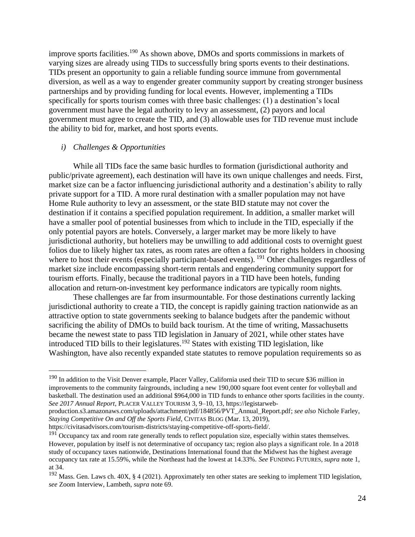improve sports facilities.<sup>190</sup> As shown above, DMOs and sports commissions in markets of varying sizes are already using TIDs to successfully bring sports events to their destinations. TIDs present an opportunity to gain a reliable funding source immune from governmental diversion, as well as a way to engender greater community support by creating stronger business partnerships and by providing funding for local events. However, implementing a TIDs specifically for sports tourism comes with three basic challenges: (1) a destination's local government must have the legal authority to levy an assessment, (2) payors and local government must agree to create the TID, and (3) allowable uses for TID revenue must include the ability to bid for, market, and host sports events.

#### *i) Challenges & Opportunities*

While all TIDs face the same basic hurdles to formation (jurisdictional authority and public/private agreement), each destination will have its own unique challenges and needs. First, market size can be a factor influencing jurisdictional authority and a destination's ability to rally private support for a TID. A more rural destination with a smaller population may not have Home Rule authority to levy an assessment, or the state BID statute may not cover the destination if it contains a specified population requirement. In addition, a smaller market will have a smaller pool of potential businesses from which to include in the TID, especially if the only potential payors are hotels. Conversely, a larger market may be more likely to have jurisdictional authority, but hoteliers may be unwilling to add additional costs to overnight guest folios due to likely higher tax rates, as room rates are often a factor for rights holders in choosing where to host their events (especially participant-based events). <sup>191</sup> Other challenges regardless of market size include encompassing short-term rentals and engendering community support for tourism efforts. Finally, because the traditional payors in a TID have been hotels, funding allocation and return-on-investment key performance indicators are typically room nights.

These challenges are far from insurmountable. For those destinations currently lacking jurisdictional authority to create a TID, the concept is rapidly gaining traction nationwide as an attractive option to state governments seeking to balance budgets after the pandemic without sacrificing the ability of DMOs to build back tourism. At the time of writing, Massachusetts became the newest state to pass TID legislation in January of 2021, while other states have introduced TID bills to their legislatures.<sup>192</sup> States with existing TID legislation, like Washington, have also recently expanded state statutes to remove population requirements so as

<sup>&</sup>lt;sup>190</sup> In addition to the Visit Denver example, Placer Valley, California used their TID to secure \$36 million in improvements to the community fairgrounds, including a new 190,000 square foot event center for volleyball and basketball. The destination used an additional \$964,000 in TID funds to enhance other sports facilities in the county. *See 2017 Annual Report*, PLACER VALLEY TOURISM 3, 9–10, 13[, https://legistarweb-](https://legistarweb-production.s3.amazonaws.com/uploads/attachment/pdf/184856/PVT_Annual_Report.pdf)

[production.s3.amazonaws.com/uploads/attachment/pdf/184856/PVT\\_Annual\\_Report.pdf;](https://legistarweb-production.s3.amazonaws.com/uploads/attachment/pdf/184856/PVT_Annual_Report.pdf) *see also* Nichole Farley, *Staying Competitive On and Off the Sports Field*, CIVITAS BLOG (Mar. 13, 2019),

[https://civitasadvisors.com/tourism-districts/staying-competitive-off-sports-field/.](https://civitasadvisors.com/tourism-districts/staying-competitive-off-sports-field/)

 $191$  Occupancy tax and room rate generally tends to reflect population size, especially within states themselves. However, population by itself is not determinative of occupancy tax; region also plays a significant role. In a 2018 study of occupancy taxes nationwide, Destinations International found that the Midwest has the highest average occupancy tax rate at 15.59%, while the Northeast had the lowest at 14.33%. *See* FUNDING FUTURES*, supra* note 1, at 34.

<sup>&</sup>lt;sup>192</sup> Mass. Gen. Laws ch. 40X, § 4 (2021). Approximately ten other states are seeking to implement TID legislation, *see* Zoom Interview, Lambeth, *supra* note 69.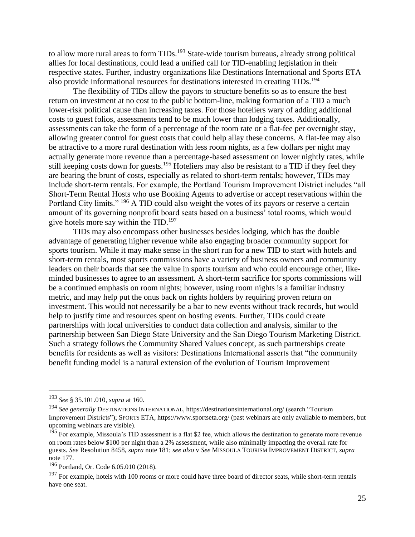to allow more rural areas to form TIDs.<sup>193</sup> State-wide tourism bureaus, already strong political allies for local destinations, could lead a unified call for TID-enabling legislation in their respective states. Further, industry organizations like Destinations International and Sports ETA also provide informational resources for destinations interested in creating TIDs.<sup>194</sup>

The flexibility of TIDs allow the payors to structure benefits so as to ensure the best return on investment at no cost to the public bottom-line, making formation of a TID a much lower-risk political cause than increasing taxes. For those hoteliers wary of adding additional costs to guest folios, assessments tend to be much lower than lodging taxes. Additionally, assessments can take the form of a percentage of the room rate or a flat-fee per overnight stay, allowing greater control for guest costs that could help allay these concerns. A flat-fee may also be attractive to a more rural destination with less room nights, as a few dollars per night may actually generate more revenue than a percentage-based assessment on lower nightly rates, while still keeping costs down for guests.<sup>195</sup> Hoteliers may also be resistant to a TID if they feel they are bearing the brunt of costs, especially as related to short-term rentals; however, TIDs may include short-term rentals. For example, the Portland Tourism Improvement District includes "all Short-Term Rental Hosts who use Booking Agents to advertise or accept reservations within the Portland City limits." <sup>196</sup> A TID could also weight the votes of its payors or reserve a certain amount of its governing nonprofit board seats based on a business' total rooms, which would give hotels more say within the TID.<sup>197</sup>

TIDs may also encompass other businesses besides lodging, which has the double advantage of generating higher revenue while also engaging broader community support for sports tourism. While it may make sense in the short run for a new TID to start with hotels and short-term rentals, most sports commissions have a variety of business owners and community leaders on their boards that see the value in sports tourism and who could encourage other, likeminded businesses to agree to an assessment. A short-term sacrifice for sports commissions will be a continued emphasis on room nights; however, using room nights is a familiar industry metric, and may help put the onus back on rights holders by requiring proven return on investment. This would not necessarily be a bar to new events without track records, but would help to justify time and resources spent on hosting events. Further, TIDs could create partnerships with local universities to conduct data collection and analysis, similar to the partnership between San Diego State University and the San Diego Tourism Marketing District. Such a strategy follows the Community Shared Values concept, as such partnerships create benefits for residents as well as visitors: Destinations International asserts that "the community benefit funding model is a natural extension of the evolution of Tourism Improvement

<sup>193</sup> *See* § 35.101.010, *supra* at 160.

<sup>194</sup> *See generally* DESTINATIONS INTERNATIONAL*,* <https://destinationsinternational.org/> (search "Tourism Improvement Districts"); SPORTS ETA,<https://www.sportseta.org/> (past webinars are only available to members, but upcoming webinars are visible).

<sup>&</sup>lt;sup>195</sup> For example, Missoula's TID assessment is a flat \$2 fee, which allows the destination to generate more revenue on room rates below \$100 per night than a 2% assessment, while also minimally impacting the overall rate for guests. *See* Resolution 8458, *supra* note 181; *see also* v *See* MISSOULA TOURISM IMPROVEMENT DISTRICT, *supra* note 177.

<sup>196</sup> Portland, Or. Code 6.05.010 (2018).

<sup>&</sup>lt;sup>197</sup> For example, hotels with 100 rooms or more could have three board of director seats, while short-term rentals have one seat.